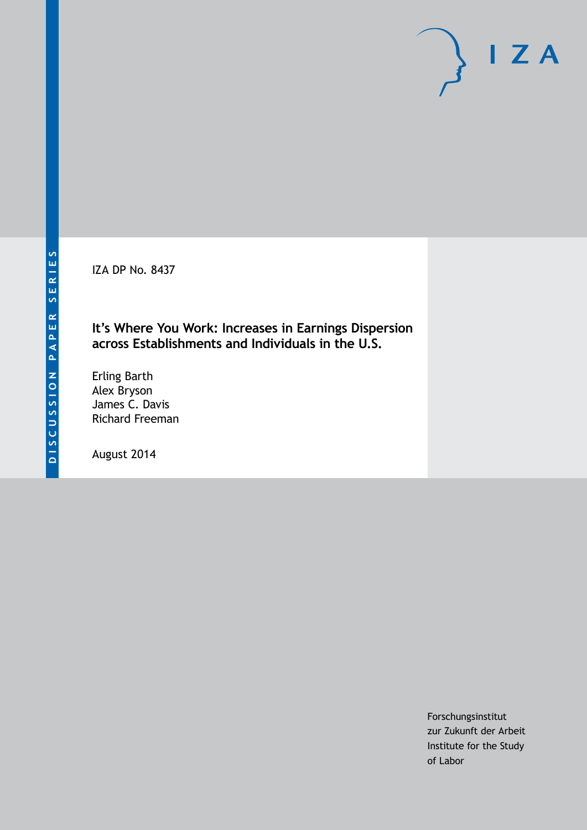IZA DP No. 8437

# **It's Where You Work: Increases in Earnings Dispersion across Establishments and Individuals in the U.S.**

Erling Barth Alex Bryson James C. Davis Richard Freeman

August 2014

Forschungsinstitut zur Zukunft der Arbeit Institute for the Study of Labor

 $I Z A$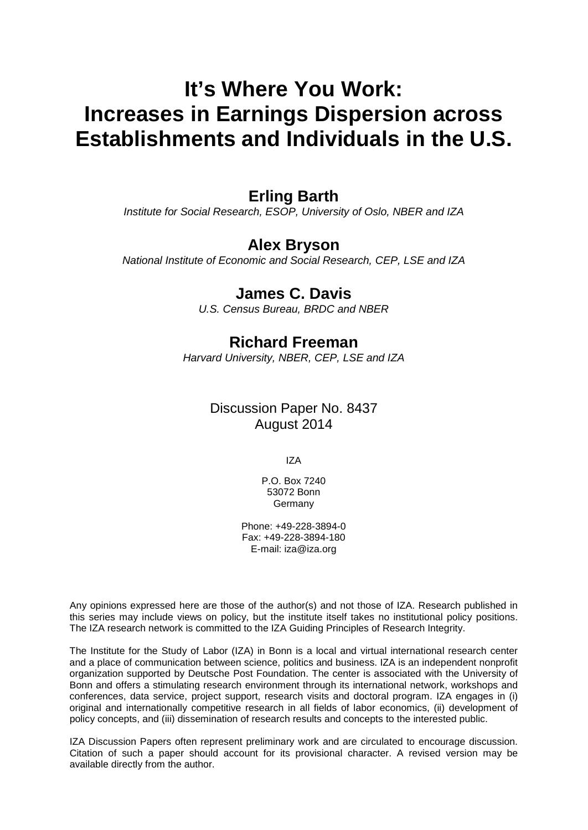# **It's Where You Work: Increases in Earnings Dispersion across Establishments and Individuals in the U.S.**

# **Erling Barth**

*Institute for Social Research, ESOP, University of Oslo, NBER and IZA*

# **Alex Bryson**

*National Institute of Economic and Social Research, CEP, LSE and IZA*

# **James C. Davis**

*U.S. Census Bureau, BRDC and NBER*

# **Richard Freeman**

*Harvard University, NBER, CEP, LSE and IZA*

# Discussion Paper No. 8437 August 2014

IZA

P.O. Box 7240 53072 Bonn Germany

Phone: +49-228-3894-0 Fax: +49-228-3894-180 E-mail: [iza@iza.org](mailto:iza@iza.org)

Any opinions expressed here are those of the author(s) and not those of IZA. Research published in this series may include views on policy, but the institute itself takes no institutional policy positions. The IZA research network is committed to the IZA Guiding Principles of Research Integrity.

The Institute for the Study of Labor (IZA) in Bonn is a local and virtual international research center and a place of communication between science, politics and business. IZA is an independent nonprofit organization supported by Deutsche Post Foundation. The center is associated with the University of Bonn and offers a stimulating research environment through its international network, workshops and conferences, data service, project support, research visits and doctoral program. IZA engages in (i) original and internationally competitive research in all fields of labor economics, (ii) development of policy concepts, and (iii) dissemination of research results and concepts to the interested public.

<span id="page-1-0"></span>IZA Discussion Papers often represent preliminary work and are circulated to encourage discussion. Citation of such a paper should account for its provisional character. A revised version may be available directly from the author.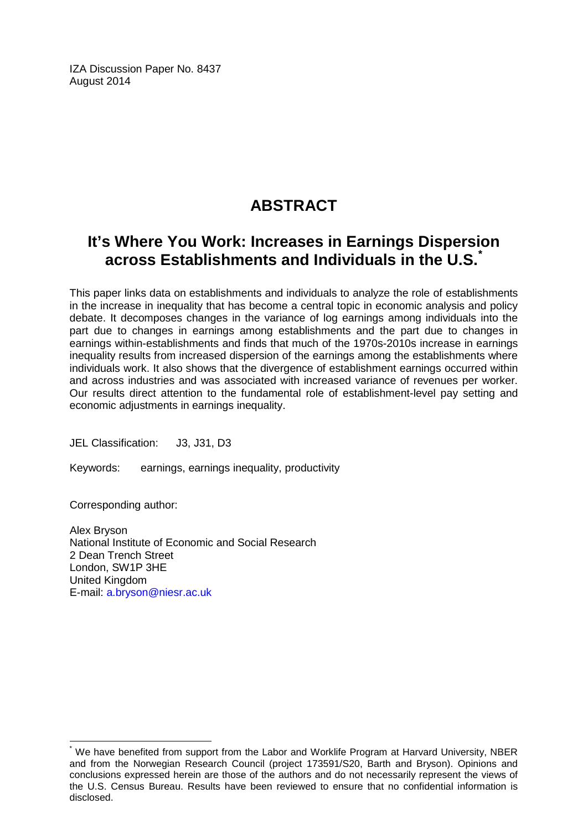IZA Discussion Paper No. 8437 August 2014

# **ABSTRACT**

# **It's Where You Work: Increases in Earnings Dispersion across Establishments and Individuals in the U.S.[\\*](#page-1-0)**

This paper links data on establishments and individuals to analyze the role of establishments in the increase in inequality that has become a central topic in economic analysis and policy debate. It decomposes changes in the variance of log earnings among individuals into the part due to changes in earnings among establishments and the part due to changes in earnings within-establishments and finds that much of the 1970s-2010s increase in earnings inequality results from increased dispersion of the earnings among the establishments where individuals work. It also shows that the divergence of establishment earnings occurred within and across industries and was associated with increased variance of revenues per worker. Our results direct attention to the fundamental role of establishment-level pay setting and economic adjustments in earnings inequality.

JEL Classification: J3, J31, D3

Keywords: earnings, earnings inequality, productivity

Corresponding author:

Alex Bryson National Institute of Economic and Social Research 2 Dean Trench Street London, SW1P 3HE United Kingdom E-mail: [a.bryson@niesr.ac.uk](mailto:a.bryson@niesr.ac.uk)

We have benefited from support from the Labor and Worklife Program at Harvard University, NBER and from the Norwegian Research Council (project 173591/S20, Barth and Bryson). Opinions and conclusions expressed herein are those of the authors and do not necessarily represent the views of the U.S. Census Bureau. Results have been reviewed to ensure that no confidential information is disclosed.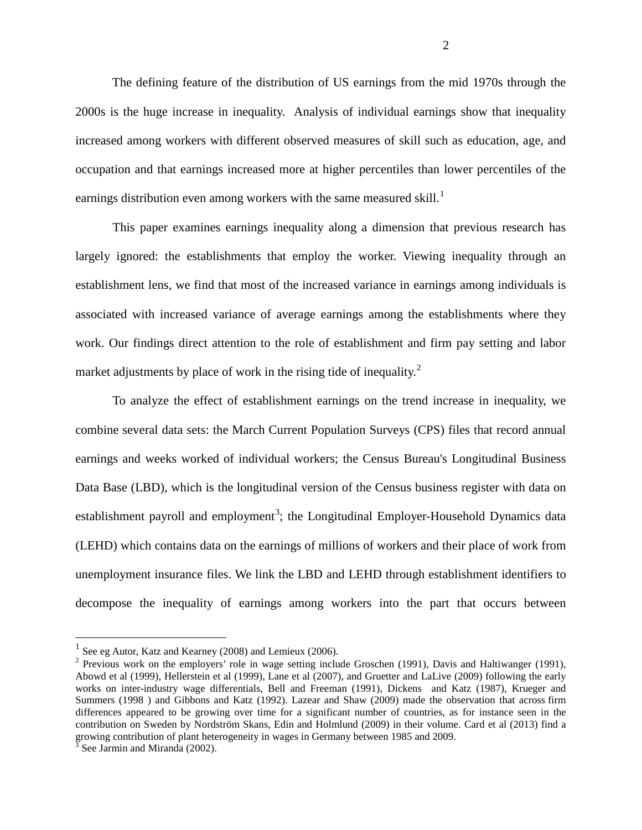The defining feature of the distribution of US earnings from the mid 1970s through the 2000s is the huge increase in inequality. Analysis of individual earnings show that inequality increased among workers with different observed measures of skill such as education, age, and occupation and that earnings increased more at higher percentiles than lower percentiles of the earnings distribution even among workers with the same measured skill.<sup>[1](#page-5-0)</sup>

This paper examines earnings inequality along a dimension that previous research has largely ignored: the establishments that employ the worker. Viewing inequality through an establishment lens, we find that most of the increased variance in earnings among individuals is associated with increased variance of average earnings among the establishments where they work. Our findings direct attention to the role of establishment and firm pay setting and labor market adjustments by place of work in the rising tide of inequality. $2^2$  $2^2$ 

To analyze the effect of establishment earnings on the trend increase in inequality, we combine several data sets: the March Current Population Surveys (CPS) files that record annual earnings and weeks worked of individual workers; the Census Bureau's Longitudinal Business Data Base (LBD), which is the longitudinal version of the Census business register with data on establishment payroll and employment<sup>[3](#page-3-1)</sup>; the Longitudinal Employer-Household Dynamics data (LEHD) which contains data on the earnings of millions of workers and their place of work from unemployment insurance files. We link the LBD and LEHD through establishment identifiers to decompose the inequality of earnings among workers into the part that occurs between

 $1$  See eg Autor, Katz and Kearney (2008) and Lemieux (2006).

<span id="page-3-2"></span><span id="page-3-0"></span> $2$  Previous work on the employers' role in wage setting include Groschen (1991), Davis and Haltiwanger (1991), Abowd et al (1999), Hellerstein et al (1999), Lane et al (2007), and Gruetter and LaLive (2009) following the early works on inter-industry wage differentials, Bell and Freeman (1991), Dickens and Katz (1987), Krueger and Summers (1998 ) and Gibbons and Katz (1992). Lazear and Shaw (2009) made the observation that across firm differences appeared to be growing over time for a significant number of countries, as for instance seen in the contribution on Sweden by Nordström Skans, Edin and Holmlund (2009) in their volume. Card et al (2013) find a growing contribution of plant heterogeneity in wages in Germany between 1985 and 2009.

<span id="page-3-1"></span> $3$  See Jarmin and Miranda (2002).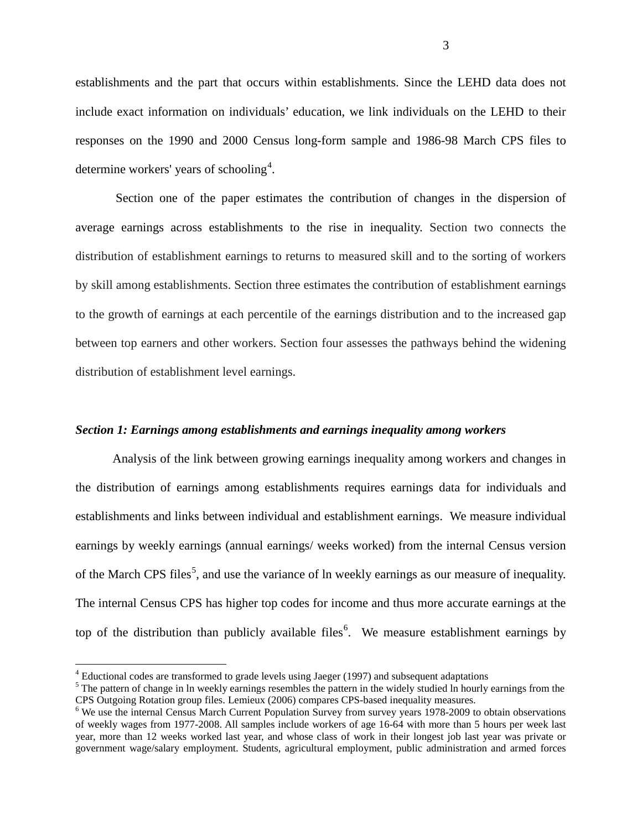establishments and the part that occurs within establishments. Since the LEHD data does not include exact information on individuals' education, we link individuals on the LEHD to their responses on the 1990 and 2000 Census long-form sample and 1986-98 March CPS files to determine workers' years of schooling<sup>[4](#page-3-2)</sup>.

Section one of the paper estimates the contribution of changes in the dispersion of average earnings across establishments to the rise in inequality. Section two connects the distribution of establishment earnings to returns to measured skill and to the sorting of workers by skill among establishments. Section three estimates the contribution of establishment earnings to the growth of earnings at each percentile of the earnings distribution and to the increased gap between top earners and other workers. Section four assesses the pathways behind the widening distribution of establishment level earnings.

#### *Section 1: Earnings among establishments and earnings inequality among workers*

Analysis of the link between growing earnings inequality among workers and changes in the distribution of earnings among establishments requires earnings data for individuals and establishments and links between individual and establishment earnings. We measure individual earnings by weekly earnings (annual earnings/ weeks worked) from the internal Census version of the March CPS files<sup>[5](#page-4-0)</sup>, and use the variance of ln weekly earnings as our measure of inequality. The internal Census CPS has higher top codes for income and thus more accurate earnings at the top of the distribution than publicly available files<sup>[6](#page-4-1)</sup>. We measure establishment earnings by

<span id="page-4-0"></span>

<span id="page-4-2"></span><sup>&</sup>lt;sup>4</sup> Eductional codes are transformed to grade levels using Jaeger (1997) and subsequent adaptations  $5$  The pattern of change in ln weekly earnings resembles the pattern in the widely studied ln hourly earnings from the C

<span id="page-4-1"></span> $<sup>6</sup>$  We use the internal Census March Current Population Survey from survey years 1978-2009 to obtain observations</sup> of weekly wages from 1977-2008. All samples include workers of age 16-64 with more than 5 hours per week last year, more than 12 weeks worked last year, and whose class of work in their longest job last year was private or government wage/salary employment. Students, agricultural employment, public administration and armed forces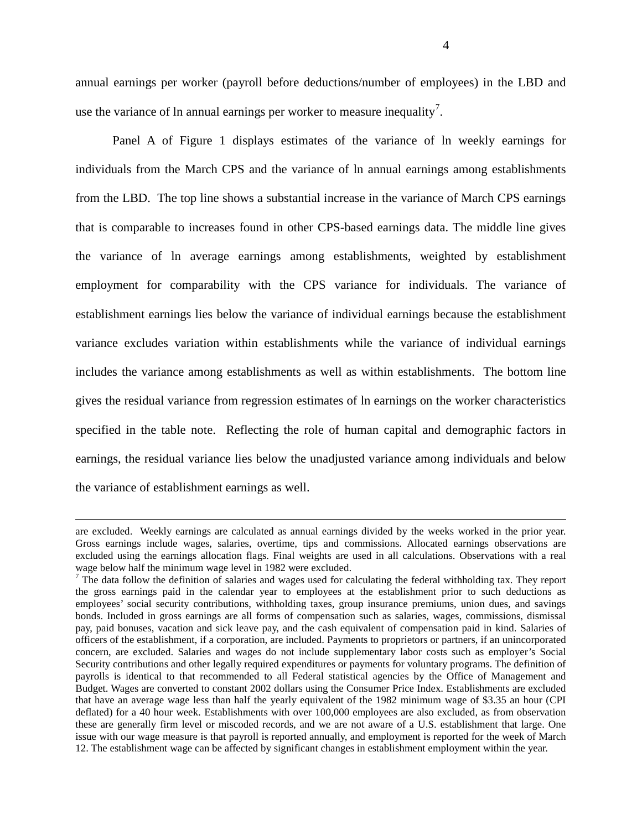annual earnings per worker (payroll before deductions/number of employees) in the LBD and use the variance of ln annual earnings per worker to measure inequality<sup>[7](#page-4-2)</sup>.

Panel A of Figure 1 displays estimates of the variance of ln weekly earnings for individuals from the March CPS and the variance of ln annual earnings among establishments from the LBD. The top line shows a substantial increase in the variance of March CPS earnings that is comparable to increases found in other CPS-based earnings data. The middle line gives the variance of ln average earnings among establishments, weighted by establishment employment for comparability with the CPS variance for individuals. The variance of establishment earnings lies below the variance of individual earnings because the establishment variance excludes variation within establishments while the variance of individual earnings includes the variance among establishments as well as within establishments. The bottom line gives the residual variance from regression estimates of ln earnings on the worker characteristics specified in the table note. Reflecting the role of human capital and demographic factors in earnings, the residual variance lies below the unadjusted variance among individuals and below the variance of establishment earnings as well.

 $\overline{a}$ 

are excluded. Weekly earnings are calculated as annual earnings divided by the weeks worked in the prior year. Gross earnings include wages, salaries, overtime, tips and commissions. Allocated earnings observations are excluded using the earnings allocation flags. Final weights are used in all calculations. Observations with a real

<span id="page-5-1"></span><span id="page-5-0"></span>wage below half the minimum wage level in 1982 were excluded.<br><sup>7</sup> The data follow the definition of salaries and wages used for calculating the federal withholding tax. They report the gross earnings paid in the calendar year to employees at the establishment prior to such deductions as employees' social security contributions, withholding taxes, group insurance premiums, union dues, and savings bonds. Included in gross earnings are all forms of compensation such as salaries, wages, commissions, dismissal pay, paid bonuses, vacation and sick leave pay, and the cash equivalent of compensation paid in kind. Salaries of officers of the establishment, if a corporation, are included. Payments to proprietors or partners, if an unincorporated concern, are excluded. Salaries and wages do not include supplementary labor costs such as employer's Social Security contributions and other legally required expenditures or payments for voluntary programs. The definition of payrolls is identical to that recommended to all Federal statistical agencies by the Office of Management and Budget. Wages are converted to constant 2002 dollars using the Consumer Price Index. Establishments are excluded that have an average wage less than half the yearly equivalent of the 1982 minimum wage of \$3.35 an hour (CPI deflated) for a 40 hour week. Establishments with over 100,000 employees are also excluded, as from observation these are generally firm level or miscoded records, and we are not aware of a U.S. establishment that large. One issue with our wage measure is that payroll is reported annually, and employment is reported for the week of March 12. The establishment wage can be affected by significant changes in establishment employment within the year.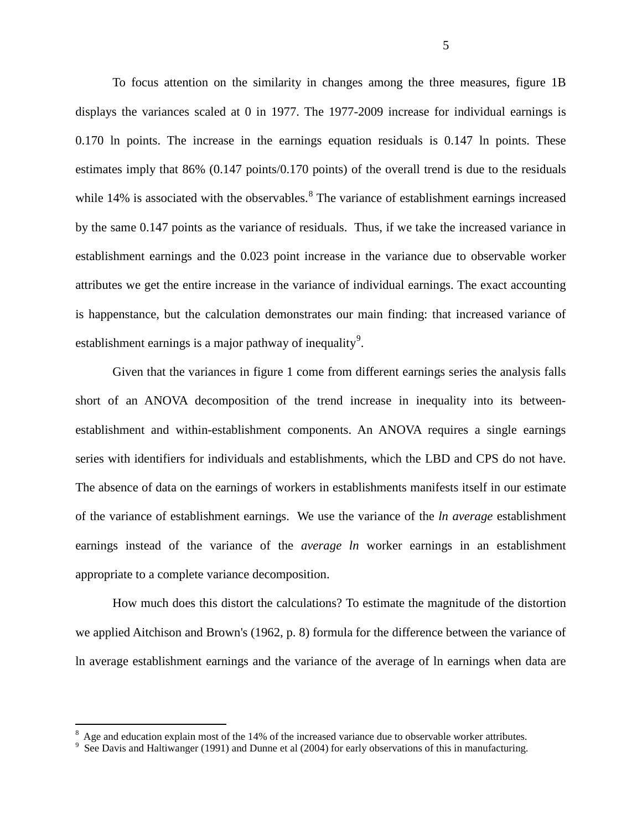To focus attention on the similarity in changes among the three measures, figure 1B displays the variances scaled at 0 in 1977. The 1977-2009 increase for individual earnings is 0.170 ln points. The increase in the earnings equation residuals is 0.147 ln points. These estimates imply that 86% (0.147 points/0.170 points) of the overall trend is due to the residuals while  $14\%$  is associated with the observables.<sup>[8](#page-5-1)</sup> The variance of establishment earnings increased by the same 0.147 points as the variance of residuals. Thus, if we take the increased variance in establishment earnings and the 0.023 point increase in the variance due to observable worker attributes we get the entire increase in the variance of individual earnings. The exact accounting is happenstance, but the calculation demonstrates our main finding: that increased variance of establishment earnings is a major pathway of inequality<sup>[9](#page-6-0)</sup>.

Given that the variances in figure 1 come from different earnings series the analysis falls short of an ANOVA decomposition of the trend increase in inequality into its betweenestablishment and within-establishment components. An ANOVA requires a single earnings series with identifiers for individuals and establishments, which the LBD and CPS do not have. The absence of data on the earnings of workers in establishments manifests itself in our estimate of the variance of establishment earnings. We use the variance of the *ln average* establishment earnings instead of the variance of the *average ln* worker earnings in an establishment appropriate to a complete variance decomposition.

<span id="page-6-1"></span>How much does this distort the calculations? To estimate the magnitude of the distortion we applied Aitchison and Brown's (1962, p. 8) formula for the difference between the variance of ln average establishment earnings and the variance of the average of ln earnings when data are

 <sup>8</sup>  $8\text{ Age}$  and education explain most of the 14% of the increased variance due to observable worker attributes.

<span id="page-6-0"></span> $\frac{9}{5}$  See Davis and Haltiwanger (1991) and Dunne et al (2004) for early observations of this in manufacturing.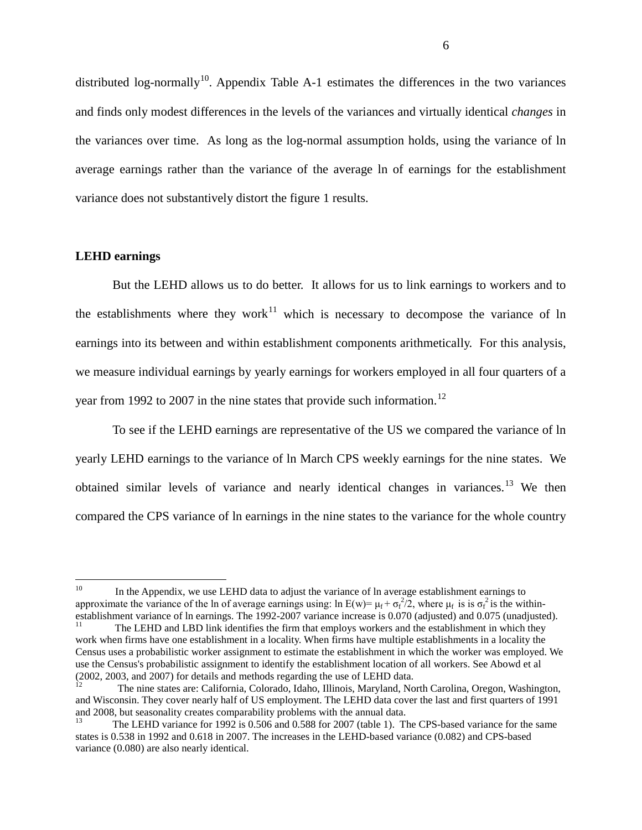distributed log-normally<sup>[10](#page-6-1)</sup>. Appendix Table A-1 estimates the differences in the two variances and finds only modest differences in the levels of the variances and virtually identical *changes* in the variances over time. As long as the log-normal assumption holds, using the variance of ln average earnings rather than the variance of the average ln of earnings for the establishment variance does not substantively distort the figure 1 results.

#### **LEHD earnings**

But the LEHD allows us to do better. It allows for us to link earnings to workers and to the establishments where they work<sup>[11](#page-7-0)</sup> which is necessary to decompose the variance of ln earnings into its between and within establishment components arithmetically. For this analysis, we measure individual earnings by yearly earnings for workers employed in all four quarters of a year from 1992 to 2007 in the nine states that provide such information.<sup>[12](#page-7-1)</sup>

To see if the LEHD earnings are representative of the US we compared the variance of ln yearly LEHD earnings to the variance of ln March CPS weekly earnings for the nine states. We obtained similar levels of variance and nearly identical changes in variances.<sup>[13](#page-7-2)</sup> We then compared the CPS variance of ln earnings in the nine states to the variance for the whole country

<sup>&</sup>lt;sup>10</sup> In the Appendix, we use LEHD data to adjust the variance of ln average establishment earnings to approximate the variance of the ln of average earnings using: ln  $E(w) = \mu_f + \sigma_f^2/2$ , where  $\mu_f$  is is  $\sigma_f^2$  is the withinestablishment variance of ln earnings. The 1992-2007 variance increase is 0.070 (adjusted) and 0.075 (unadjusted).<br><sup>11</sup> The LEHD and LBD link identifies the firm that employs workers and the establishment in which they

<span id="page-7-3"></span><span id="page-7-0"></span>work when firms have one establishment in a locality. When firms have multiple establishments in a locality the Census uses a probabilistic worker assignment to estimate the establishment in which the worker was employed. We use the Census's probabilistic assignment to identify the establishment location of all workers. See Abowd et al (2002, 2003, and 2007) for details and methods regarding the use of LEHD data.<br><sup>12</sup> The nine states are: California, Colorado, Idaho, Illinois, Maryland, North Carolina, Oregon, Washington,

<span id="page-7-1"></span>and Wisconsin. They cover nearly half of US employment. The LEHD data cover the last and first quarters of 1991 and 2008, but seasonality creates comparability problems with the annual data.

<span id="page-7-2"></span><sup>13</sup> The LEHD variance for 1992 is 0.506 and 0.588 for 2007 (table 1). The CPS-based variance for the same states is 0.538 in 1992 and 0.618 in 2007. The increases in the LEHD-based variance (0.082) and CPS-based variance (0.080) are also nearly identical.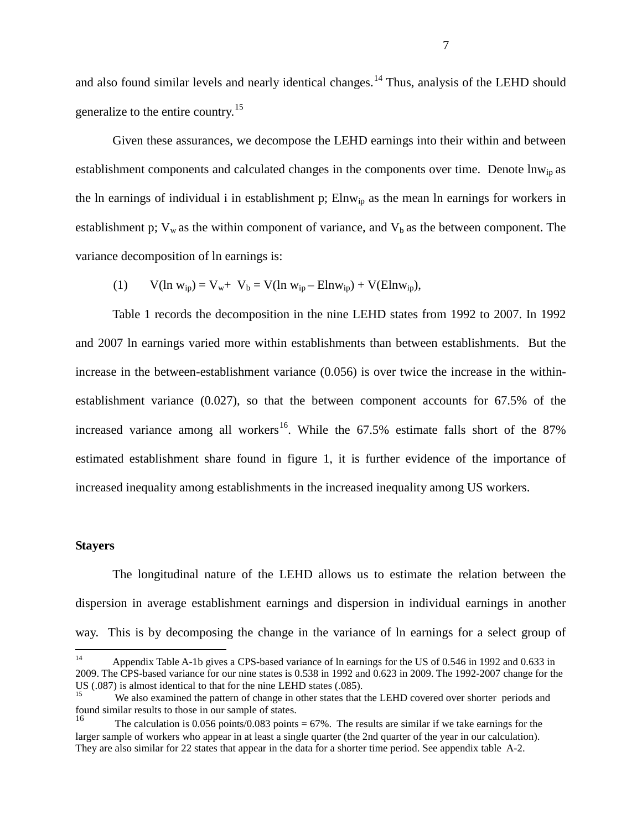and also found similar levels and nearly identical changes.<sup>[14](#page-7-3)</sup> Thus, analysis of the LEHD should generalize to the entire country.<sup>[15](#page-8-0)</sup>

Given these assurances, we decompose the LEHD earnings into their within and between establishment components and calculated changes in the components over time. Denote lnw<sub>ip</sub> as the ln earnings of individual i in establishment p;  $Elnw<sub>ip</sub>$  as the mean ln earnings for workers in establishment p;  $V_w$  as the within component of variance, and  $V_b$  as the between component. The variance decomposition of ln earnings is:

(1)  $V(\ln w_{ip}) = V_w + V_b = V(\ln w_{ip} - Elnw_{ip}) + V(Elnw_{ip}),$ 

Table 1 records the decomposition in the nine LEHD states from 1992 to 2007. In 1992 and 2007 ln earnings varied more within establishments than between establishments. But the increase in the between-establishment variance (0.056) is over twice the increase in the withinestablishment variance (0.027), so that the between component accounts for 67.5% of the increased variance among all workers<sup>16</sup>. While the  $67.5\%$  estimate falls short of the  $87\%$ estimated establishment share found in figure 1, it is further evidence of the importance of increased inequality among establishments in the increased inequality among US workers.

#### **Stayers**

The longitudinal nature of the LEHD allows us to estimate the relation between the dispersion in average establishment earnings and dispersion in individual earnings in another way. This is by decomposing the change in the variance of ln earnings for a select group of

 <sup>14</sup> Appendix Table A-1b gives a CPS-based variance of ln earnings for the US of 0.546 in 1992 and 0.633 in 2009. The CPS-based variance for our nine states is 0.538 in 1992 and 0.623 in 2009. The 1992-2007 change for the US (.087) is almost identical to that for the nine LEHD states (.085).

<span id="page-8-0"></span>We also examined the pattern of change in other states that the LEHD covered over shorter periods and found similar results to those in our sample of states.

<span id="page-8-2"></span><span id="page-8-1"></span>The calculation is 0.056 points/0.083 points =  $67\%$ . The results are similar if we take earnings for the larger sample of workers who appear in at least a single quarter (the 2nd quarter of the year in our calculation). They are also similar for 22 states that appear in the data for a shorter time period. See appendix table A-2.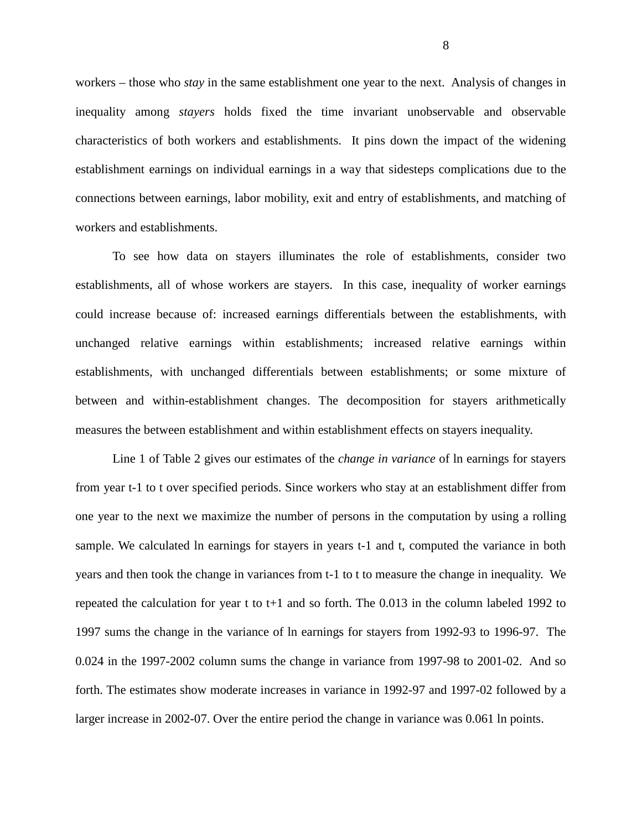workers – those who *stay* in the same establishment one year to the next. Analysis of changes in inequality among *stayers* holds fixed the time invariant unobservable and observable characteristics of both workers and establishments. It pins down the impact of the widening establishment earnings on individual earnings in a way that sidesteps complications due to the connections between earnings, labor mobility, exit and entry of establishments, and matching of workers and establishments.

To see how data on stayers illuminates the role of establishments, consider two establishments, all of whose workers are stayers. In this case, inequality of worker earnings could increase because of: increased earnings differentials between the establishments, with unchanged relative earnings within establishments; increased relative earnings within establishments, with unchanged differentials between establishments; or some mixture of between and within-establishment changes. The decomposition for stayers arithmetically measures the between establishment and within establishment effects on stayers inequality.

Line 1 of Table 2 gives our estimates of the *change in variance* of ln earnings for stayers from year t-1 to t over specified periods. Since workers who stay at an establishment differ from one year to the next we maximize the number of persons in the computation by using a rolling sample. We calculated ln earnings for stayers in years t-1 and t, computed the variance in both years and then took the change in variances from t-1 to t to measure the change in inequality. We repeated the calculation for year t to t+1 and so forth. The 0.013 in the column labeled 1992 to 1997 sums the change in the variance of ln earnings for stayers from 1992-93 to 1996-97. The 0.024 in the 1997-2002 column sums the change in variance from 1997-98 to 2001-02. And so forth. The estimates show moderate increases in variance in 1992-97 and 1997-02 followed by a larger increase in 2002-07. Over the entire period the change in variance was 0.061 ln points.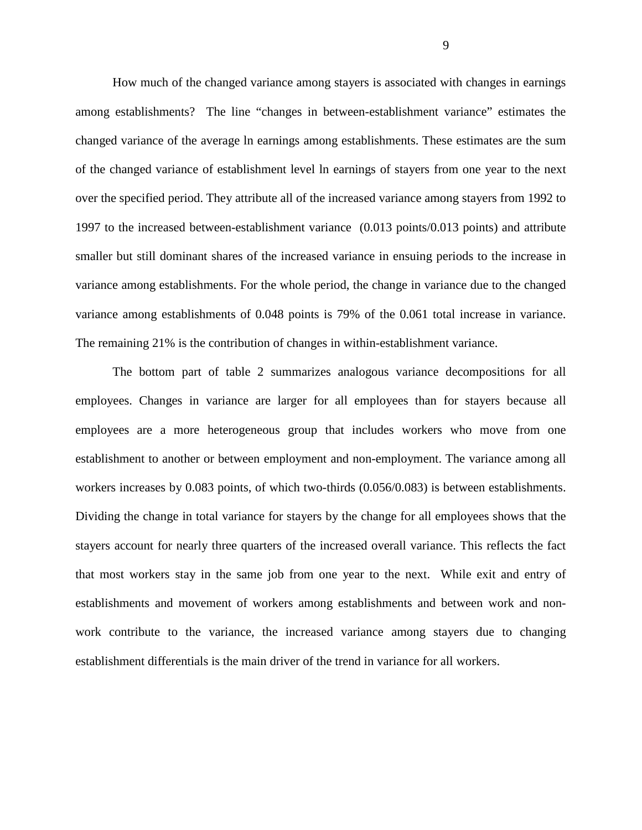How much of the changed variance among stayers is associated with changes in earnings among establishments? The line "changes in between-establishment variance" estimates the changed variance of the average ln earnings among establishments. These estimates are the sum of the changed variance of establishment level ln earnings of stayers from one year to the next over the specified period. They attribute all of the increased variance among stayers from 1992 to 1997 to the increased between-establishment variance (0.013 points/0.013 points) and attribute smaller but still dominant shares of the increased variance in ensuing periods to the increase in variance among establishments. For the whole period, the change in variance due to the changed variance among establishments of 0.048 points is 79% of the 0.061 total increase in variance. The remaining 21% is the contribution of changes in within-establishment variance.

The bottom part of table 2 summarizes analogous variance decompositions for all employees. Changes in variance are larger for all employees than for stayers because all employees are a more heterogeneous group that includes workers who move from one establishment to another or between employment and non-employment. The variance among all workers increases by 0.083 points, of which two-thirds (0.056/0.083) is between establishments. Dividing the change in total variance for stayers by the change for all employees shows that the stayers account for nearly three quarters of the increased overall variance. This reflects the fact that most workers stay in the same job from one year to the next. While exit and entry of establishments and movement of workers among establishments and between work and nonwork contribute to the variance, the increased variance among stayers due to changing establishment differentials is the main driver of the trend in variance for all workers.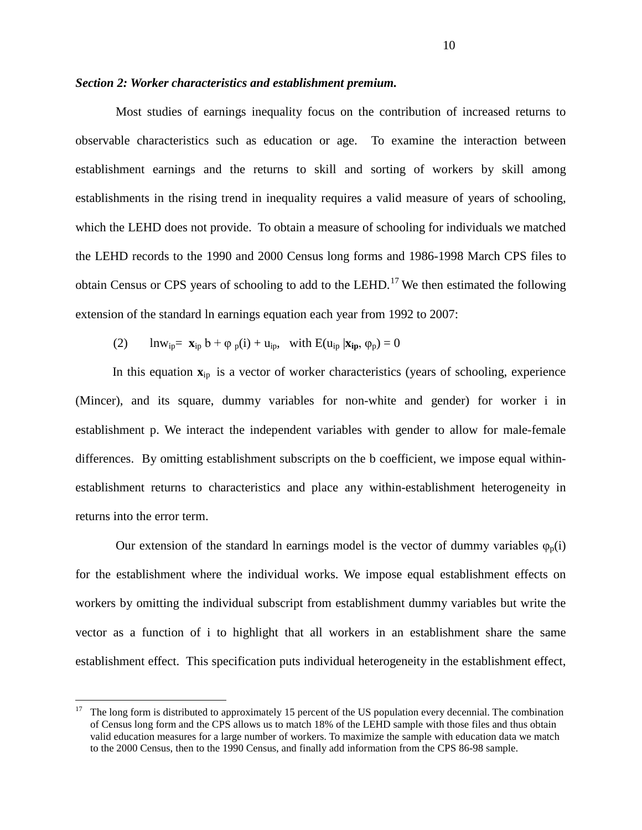#### *Section 2: Worker characteristics and establishment premium.*

Most studies of earnings inequality focus on the contribution of increased returns to observable characteristics such as education or age. To examine the interaction between establishment earnings and the returns to skill and sorting of workers by skill among establishments in the rising trend in inequality requires a valid measure of years of schooling, which the LEHD does not provide. To obtain a measure of schooling for individuals we matched the LEHD records to the 1990 and 2000 Census long forms and 1986-1998 March CPS files to obtain Census or CPS years of schooling to add to the LEHD.<sup>[17](#page-8-2)</sup> We then estimated the following extension of the standard ln earnings equation each year from 1992 to 2007:

(2) 
$$
\ln w_{ip} = \mathbf{x}_{ip} b + \varphi_p(i) + u_{ip}, \text{ with } E(u_{ip} | \mathbf{x}_{ip}, \varphi_p) = 0
$$

In this equation  $\mathbf{x}_{\text{in}}$  is a vector of worker characteristics (years of schooling, experience (Mincer), and its square, dummy variables for non-white and gender) for worker i in establishment p. We interact the independent variables with gender to allow for male-female differences. By omitting establishment subscripts on the b coefficient, we impose equal withinestablishment returns to characteristics and place any within-establishment heterogeneity in returns into the error term.

Our extension of the standard ln earnings model is the vector of dummy variables  $\varphi_n(i)$ for the establishment where the individual works. We impose equal establishment effects on workers by omitting the individual subscript from establishment dummy variables but write the vector as a function of i to highlight that all workers in an establishment share the same establishment effect. This specification puts individual heterogeneity in the establishment effect,

<span id="page-11-0"></span> $17$  The long form is distributed to approximately 15 percent of the US population every decennial. The combination of Census long form and the CPS allows us to match 18% of the LEHD sample with those files and thus obtain valid education measures for a large number of workers. To maximize the sample with education data we match to the 2000 Census, then to the 1990 Census, and finally add information from the CPS 86-98 sample.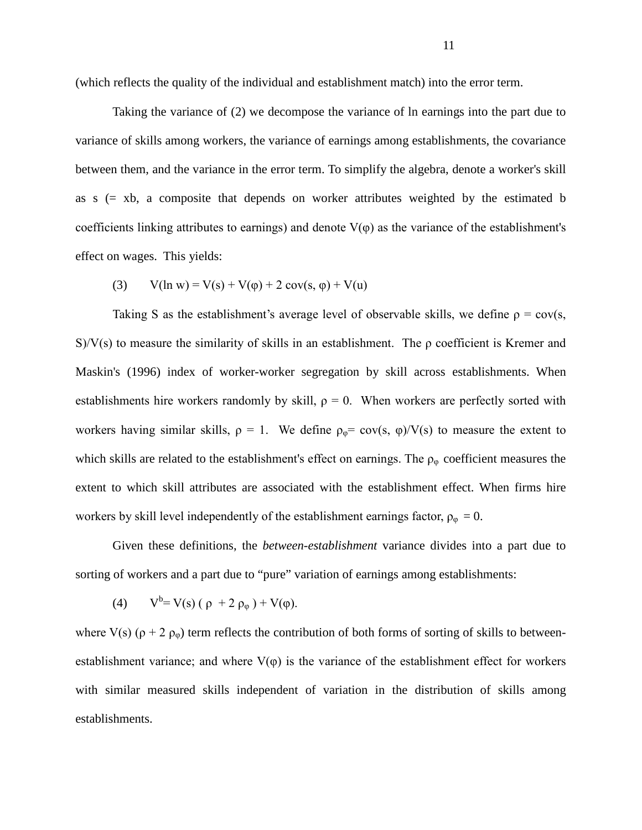(which reflects the quality of the individual and establishment match) into the error term.

Taking the variance of (2) we decompose the variance of ln earnings into the part due to variance of skills among workers, the variance of earnings among establishments, the covariance between them, and the variance in the error term. To simplify the algebra, denote a worker's skill as s (= xb, a composite that depends on worker attributes weighted by the estimated b coefficients linking attributes to earnings) and denote  $V(\varphi)$  as the variance of the establishment's effect on wages. This yields:

(3) 
$$
V(\ln w) = V(s) + V(\phi) + 2 \cos(s, \phi) + V(u)
$$

Taking S as the establishment's average level of observable skills, we define  $\rho = \text{cov}(s)$ ,  $S/V(s)$  to measure the similarity of skills in an establishment. The ρ coefficient is Kremer and Maskin's (1996) index of worker-worker segregation by skill across establishments. When establishments hire workers randomly by skill,  $\rho = 0$ . When workers are perfectly sorted with workers having similar skills,  $\rho = 1$ . We define  $\rho_{\varphi} = \text{cov}(s, \varphi)/V(s)$  to measure the extent to which skills are related to the establishment's effect on earnings. The  $\rho_{\varphi}$  coefficient measures the extent to which skill attributes are associated with the establishment effect. When firms hire workers by skill level independently of the establishment earnings factor,  $\rho_{\varphi} = 0$ .

Given these definitions, the *between-establishment* variance divides into a part due to sorting of workers and a part due to "pure" variation of earnings among establishments:

(4) 
$$
V^b = V(s) (\rho + 2 \rho_\phi) + V(\phi)
$$
.

where V(s) ( $\rho$  + 2  $\rho_{\varphi}$ ) term reflects the contribution of both forms of sorting of skills to betweenestablishment variance; and where  $V(\varphi)$  is the variance of the establishment effect for workers with similar measured skills independent of variation in the distribution of skills among establishments.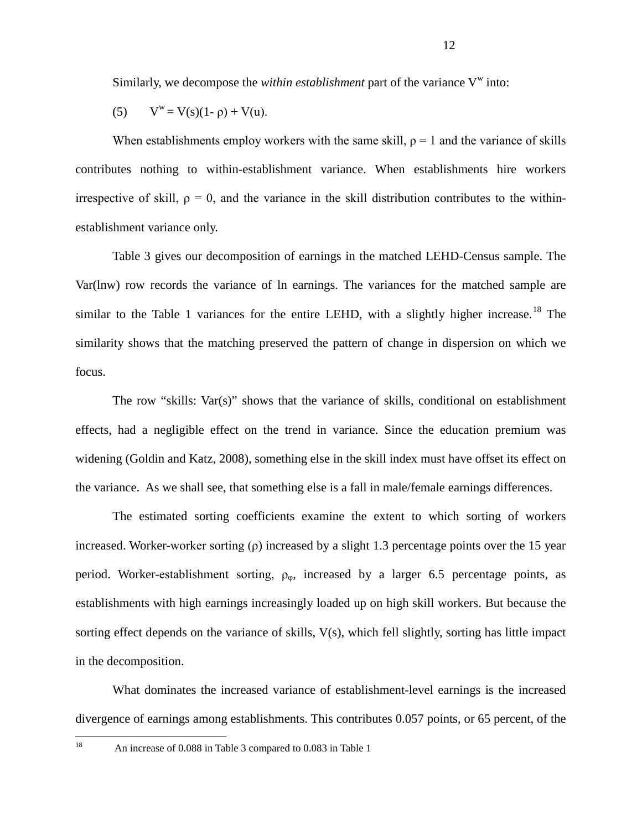Similarly, we decompose the *within establishment* part of the variance  $V^w$  into:

(5) 
$$
V^w = V(s)(1-\rho) + V(u)
$$
.

When establishments employ workers with the same skill,  $\rho = 1$  and the variance of skills contributes nothing to within-establishment variance. When establishments hire workers irrespective of skill,  $\rho = 0$ , and the variance in the skill distribution contributes to the withinestablishment variance only.

Table 3 gives our decomposition of earnings in the matched LEHD-Census sample. The Var(lnw) row records the variance of ln earnings. The variances for the matched sample are similar to the Table 1 variances for the entire LEHD, with a slightly higher increase.<sup>[18](#page-11-0)</sup> The similarity shows that the matching preserved the pattern of change in dispersion on which we focus.

The row "skills: Var(s)" shows that the variance of skills, conditional on establishment effects, had a negligible effect on the trend in variance. Since the education premium was widening (Goldin and Katz, 2008), something else in the skill index must have offset its effect on the variance. As we shall see, that something else is a fall in male/female earnings differences.

The estimated sorting coefficients examine the extent to which sorting of workers increased. Worker-worker sorting  $(\rho)$  increased by a slight 1.3 percentage points over the 15 year period. Worker-establishment sorting,  $\rho_{\varphi}$ , increased by a larger 6.5 percentage points, as establishments with high earnings increasingly loaded up on high skill workers. But because the sorting effect depends on the variance of skills, V(s), which fell slightly, sorting has little impact in the decomposition.

<span id="page-13-0"></span>What dominates the increased variance of establishment-level earnings is the increased divergence of earnings among establishments. This contributes 0.057 points, or 65 percent, of the

<sup>&</sup>lt;sup>18</sup> An increase of 0.088 in Table 3 compared to 0.083 in Table 1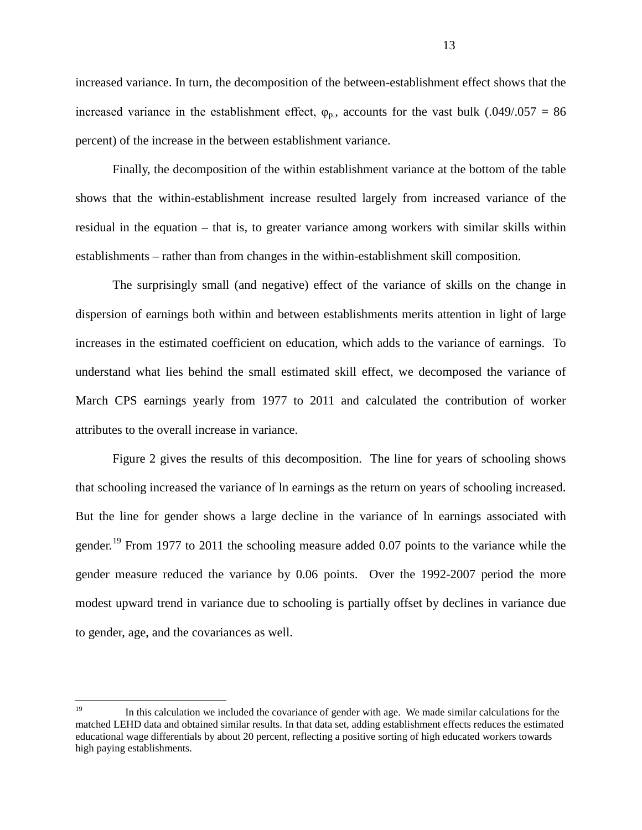increased variance. In turn, the decomposition of the between-establishment effect shows that the increased variance in the establishment effect,  $\varphi_{p}$ , accounts for the vast bulk (.049/.057 = 86 percent) of the increase in the between establishment variance.

Finally, the decomposition of the within establishment variance at the bottom of the table shows that the within-establishment increase resulted largely from increased variance of the residual in the equation – that is, to greater variance among workers with similar skills within establishments – rather than from changes in the within-establishment skill composition.

The surprisingly small (and negative) effect of the variance of skills on the change in dispersion of earnings both within and between establishments merits attention in light of large increases in the estimated coefficient on education, which adds to the variance of earnings. To understand what lies behind the small estimated skill effect, we decomposed the variance of March CPS earnings yearly from 1977 to 2011 and calculated the contribution of worker attributes to the overall increase in variance.

Figure 2 gives the results of this decomposition. The line for years of schooling shows that schooling increased the variance of ln earnings as the return on years of schooling increased. But the line for gender shows a large decline in the variance of ln earnings associated with gender.<sup>[19](#page-13-0)</sup> From 1977 to 2011 the schooling measure added 0.07 points to the variance while the gender measure reduced the variance by 0.06 points. Over the 1992-2007 period the more modest upward trend in variance due to schooling is partially offset by declines in variance due to gender, age, and the covariances as well.

<span id="page-14-0"></span><sup>&</sup>lt;sup>19</sup> In this calculation we included the covariance of gender with age. We made similar calculations for the matched LEHD data and obtained similar results. In that data set, adding establishment effects reduces the estimated educational wage differentials by about 20 percent, reflecting a positive sorting of high educated workers towards high paying establishments.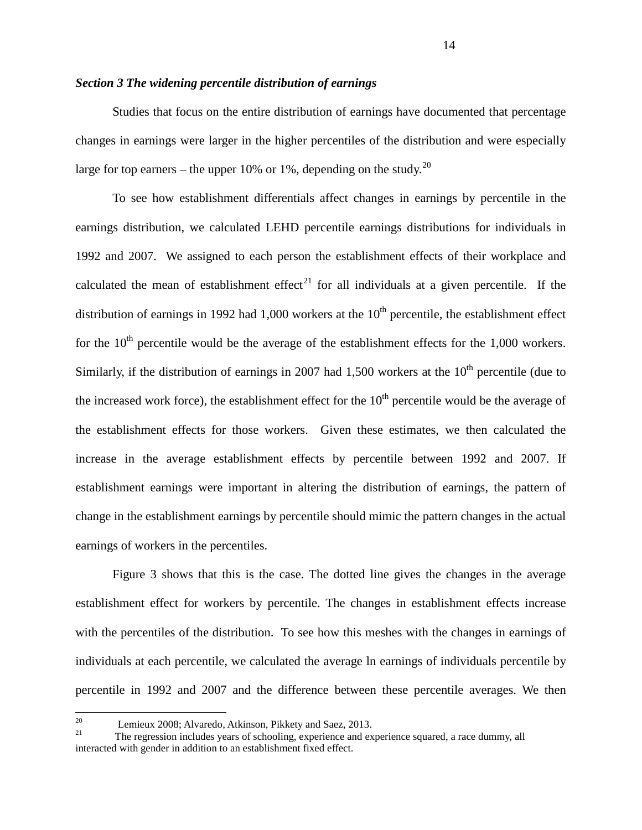#### *Section 3 The widening percentile distribution of earnings*

Studies that focus on the entire distribution of earnings have documented that percentage changes in earnings were larger in the higher percentiles of the distribution and were especially large for top earners – the upper 10% or 1%, depending on the study.<sup>[20](#page-14-0)</sup>

To see how establishment differentials affect changes in earnings by percentile in the earnings distribution, we calculated LEHD percentile earnings distributions for individuals in 1992 and 2007. We assigned to each person the establishment effects of their workplace and calculated the mean of establishment effect<sup>[21](#page-15-0)</sup> for all individuals at a given percentile. If the distribution of earnings in 1992 had 1,000 workers at the  $10<sup>th</sup>$  percentile, the establishment effect for the  $10<sup>th</sup>$  percentile would be the average of the establishment effects for the 1,000 workers. Similarly, if the distribution of earnings in 2007 had 1,500 workers at the  $10<sup>th</sup>$  percentile (due to the increased work force), the establishment effect for the  $10<sup>th</sup>$  percentile would be the average of the establishment effects for those workers. Given these estimates, we then calculated the increase in the average establishment effects by percentile between 1992 and 2007. If establishment earnings were important in altering the distribution of earnings, the pattern of change in the establishment earnings by percentile should mimic the pattern changes in the actual earnings of workers in the percentiles.

Figure 3 shows that this is the case. The dotted line gives the changes in the average establishment effect for workers by percentile. The changes in establishment effects increase with the percentiles of the distribution. To see how this meshes with the changes in earnings of individuals at each percentile, we calculated the average ln earnings of individuals percentile by percentile in 1992 and 2007 and the difference between these percentile averages. We then

<span id="page-15-1"></span><span id="page-15-0"></span><sup>&</sup>lt;sup>20</sup> Lemieux 2008; Alvaredo, Atkinson, Pikkety and Saez, 2013.<br><sup>21</sup> The regression includes years of schooling, experience and experience squared, a race dummy, all interacted with gender in addition to an establishment fixed effect.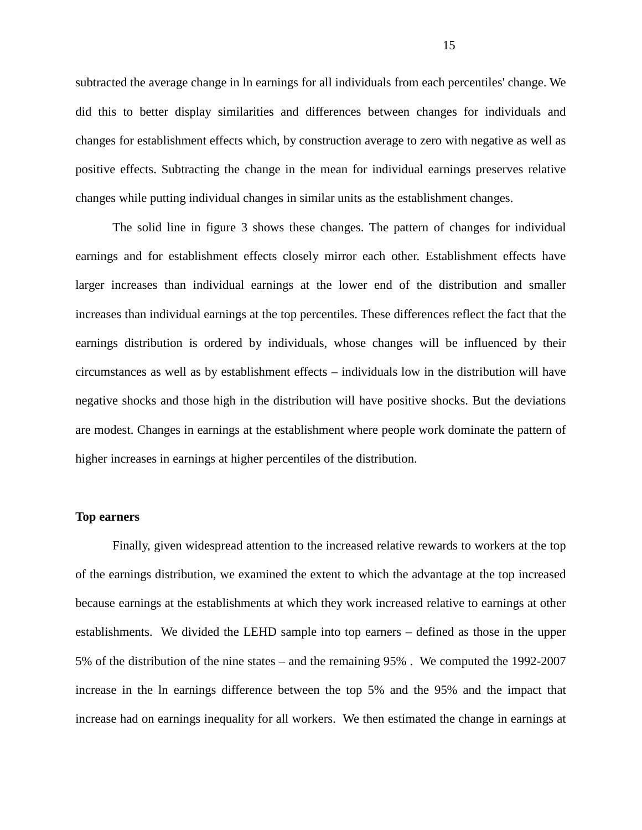subtracted the average change in ln earnings for all individuals from each percentiles' change. We did this to better display similarities and differences between changes for individuals and changes for establishment effects which, by construction average to zero with negative as well as positive effects. Subtracting the change in the mean for individual earnings preserves relative changes while putting individual changes in similar units as the establishment changes.

The solid line in figure 3 shows these changes. The pattern of changes for individual earnings and for establishment effects closely mirror each other. Establishment effects have larger increases than individual earnings at the lower end of the distribution and smaller increases than individual earnings at the top percentiles. These differences reflect the fact that the earnings distribution is ordered by individuals, whose changes will be influenced by their circumstances as well as by establishment effects – individuals low in the distribution will have negative shocks and those high in the distribution will have positive shocks. But the deviations are modest. Changes in earnings at the establishment where people work dominate the pattern of higher increases in earnings at higher percentiles of the distribution.

#### **Top earners**

Finally, given widespread attention to the increased relative rewards to workers at the top of the earnings distribution, we examined the extent to which the advantage at the top increased because earnings at the establishments at which they work increased relative to earnings at other establishments. We divided the LEHD sample into top earners – defined as those in the upper 5% of the distribution of the nine states – and the remaining 95% . We computed the 1992-2007 increase in the ln earnings difference between the top 5% and the 95% and the impact that increase had on earnings inequality for all workers. We then estimated the change in earnings at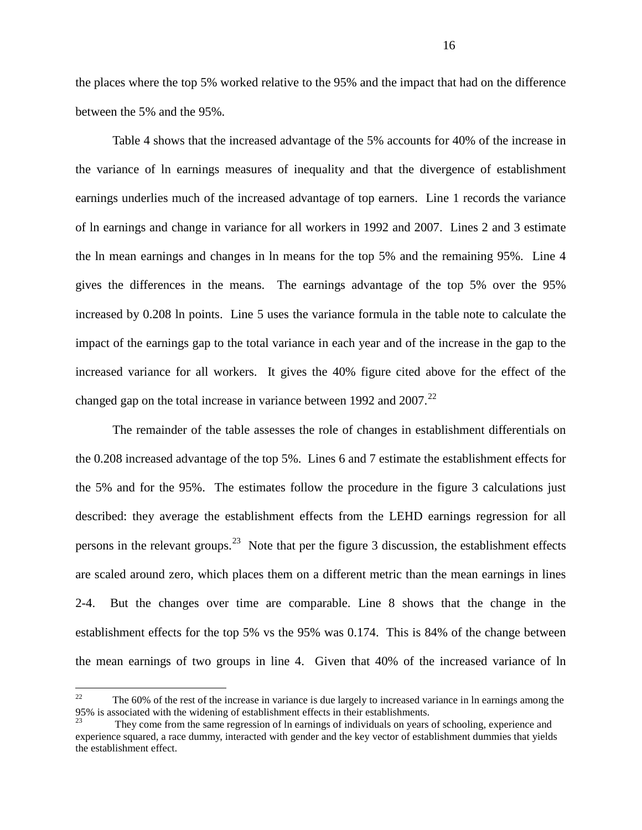the places where the top 5% worked relative to the 95% and the impact that had on the difference between the 5% and the 95%.

Table 4 shows that the increased advantage of the 5% accounts for 40% of the increase in the variance of ln earnings measures of inequality and that the divergence of establishment earnings underlies much of the increased advantage of top earners. Line 1 records the variance of ln earnings and change in variance for all workers in 1992 and 2007. Lines 2 and 3 estimate the ln mean earnings and changes in ln means for the top 5% and the remaining 95%. Line 4 gives the differences in the means. The earnings advantage of the top 5% over the 95% increased by 0.208 ln points. Line 5 uses the variance formula in the table note to calculate the impact of the earnings gap to the total variance in each year and of the increase in the gap to the increased variance for all workers. It gives the 40% figure cited above for the effect of the changed gap on the total increase in variance between 1992 and  $2007<sup>22</sup>$ 

The remainder of the table assesses the role of changes in establishment differentials on the 0.208 increased advantage of the top 5%. Lines 6 and 7 estimate the establishment effects for the 5% and for the 95%. The estimates follow the procedure in the figure 3 calculations just described: they average the establishment effects from the LEHD earnings regression for all persons in the relevant groups.<sup>23</sup> Note that per the figure 3 discussion, the establishment effects are scaled around zero, which places them on a different metric than the mean earnings in lines 2-4. But the changes over time are comparable. Line 8 shows that the change in the establishment effects for the top 5% vs the 95% was 0.174. This is 84% of the change between the mean earnings of two groups in line 4. Given that 40% of the increased variance of ln

<sup>&</sup>lt;sup>22</sup> The 60% of the rest of the increase in variance is due largely to increased variance in ln earnings among the 95% is associated with the widening of establishment effects in their establishments.

<span id="page-17-1"></span><span id="page-17-0"></span>They come from the same regression of ln earnings of individuals on years of schooling, experience and experience squared, a race dummy, interacted with gender and the key vector of establishment dummies that yields the establishment effect.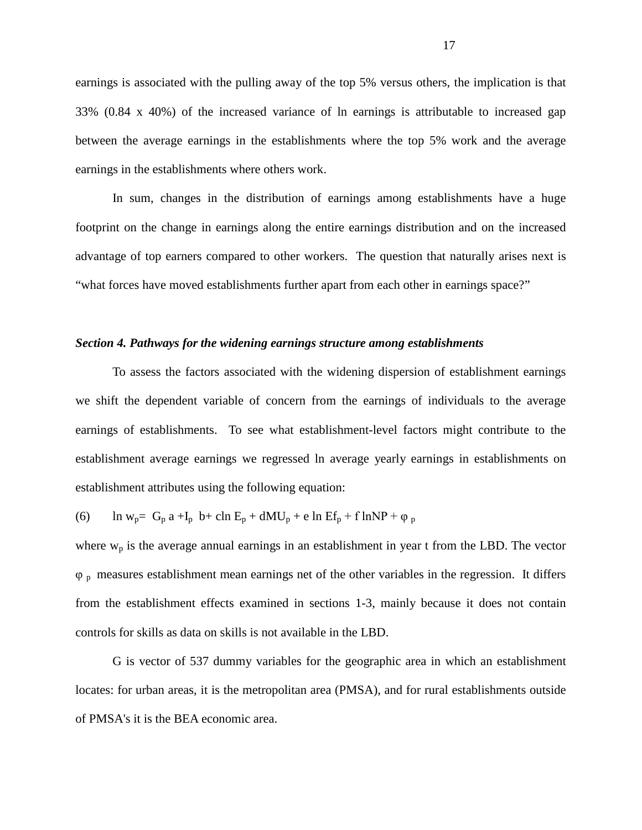earnings is associated with the pulling away of the top 5% versus others, the implication is that 33% (0.84 x 40%) of the increased variance of ln earnings is attributable to increased gap between the average earnings in the establishments where the top 5% work and the average earnings in the establishments where others work.

In sum, changes in the distribution of earnings among establishments have a huge footprint on the change in earnings along the entire earnings distribution and on the increased advantage of top earners compared to other workers. The question that naturally arises next is "what forces have moved establishments further apart from each other in earnings space?"

#### *Section 4. Pathways for the widening earnings structure among establishments*

To assess the factors associated with the widening dispersion of establishment earnings we shift the dependent variable of concern from the earnings of individuals to the average earnings of establishments. To see what establishment-level factors might contribute to the establishment average earnings we regressed ln average yearly earnings in establishments on establishment attributes using the following equation:

(6) ln w<sub>p</sub>= G<sub>p</sub> a +I<sub>p</sub> b+ cln E<sub>p</sub> + dMU<sub>p</sub> + e ln Ef<sub>p</sub> + f lnNP +  $\varphi$ <sub>p</sub>

where  $w_p$  is the average annual earnings in an establishment in year t from the LBD. The vector φ p measures establishment mean earnings net of the other variables in the regression. It differs from the establishment effects examined in sections 1-3, mainly because it does not contain controls for skills as data on skills is not available in the LBD.

G is vector of 537 dummy variables for the geographic area in which an establishment locates: for urban areas, it is the metropolitan area (PMSA), and for rural establishments outside of PMSA's it is the BEA economic area.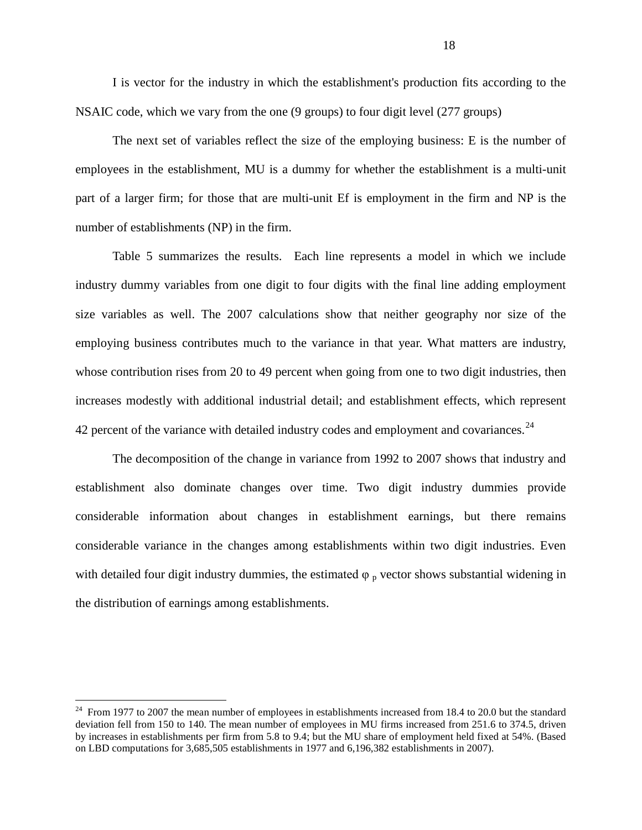I is vector for the industry in which the establishment's production fits according to the NSAIC code, which we vary from the one (9 groups) to four digit level (277 groups)

The next set of variables reflect the size of the employing business: E is the number of employees in the establishment, MU is a dummy for whether the establishment is a multi-unit part of a larger firm; for those that are multi-unit Ef is employment in the firm and NP is the number of establishments (NP) in the firm.

Table 5 summarizes the results. Each line represents a model in which we include industry dummy variables from one digit to four digits with the final line adding employment size variables as well. The 2007 calculations show that neither geography nor size of the employing business contributes much to the variance in that year. What matters are industry, whose contribution rises from 20 to 49 percent when going from one to two digit industries, then increases modestly with additional industrial detail; and establishment effects, which represent 42 percent of the variance with detailed industry codes and employment and covariances.<sup>[24](#page-17-1)</sup>

The decomposition of the change in variance from 1992 to 2007 shows that industry and establishment also dominate changes over time. Two digit industry dummies provide considerable information about changes in establishment earnings, but there remains considerable variance in the changes among establishments within two digit industries. Even with detailed four digit industry dummies, the estimated  $\varphi$   $_p$  vector shows substantial widening in the distribution of earnings among establishments.

<span id="page-19-0"></span> $^{24}$  From 1977 to 2007 the mean number of employees in establishments increased from 18.4 to 20.0 but the standard deviation fell from 150 to 140. The mean number of employees in MU firms increased from 251.6 to 374.5, driven by increases in establishments per firm from 5.8 to 9.4; but the MU share of employment held fixed at 54%. (Based on LBD computations for 3,685,505 establishments in 1977 and 6,196,382 establishments in 2007).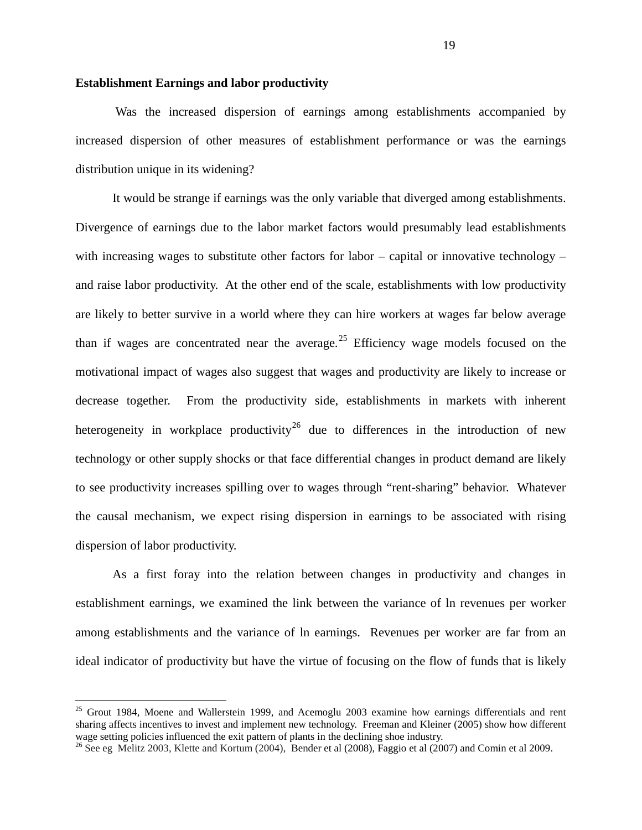#### **Establishment Earnings and labor productivity**

Was the increased dispersion of earnings among establishments accompanied by increased dispersion of other measures of establishment performance or was the earnings distribution unique in its widening?

It would be strange if earnings was the only variable that diverged among establishments. Divergence of earnings due to the labor market factors would presumably lead establishments with increasing wages to substitute other factors for labor – capital or innovative technology – and raise labor productivity. At the other end of the scale, establishments with low productivity are likely to better survive in a world where they can hire workers at wages far below average than if wages are concentrated near the average.<sup>[25](#page-19-0)</sup> Efficiency wage models focused on the motivational impact of wages also suggest that wages and productivity are likely to increase or decrease together. From the productivity side, establishments in markets with inherent heterogeneity in workplace productivity<sup>[26](#page-20-0)</sup> due to differences in the introduction of new technology or other supply shocks or that face differential changes in product demand are likely to see productivity increases spilling over to wages through "rent-sharing" behavior. Whatever the causal mechanism, we expect rising dispersion in earnings to be associated with rising dispersion of labor productivity.

As a first foray into the relation between changes in productivity and changes in establishment earnings, we examined the link between the variance of ln revenues per worker among establishments and the variance of ln earnings. Revenues per worker are far from an ideal indicator of productivity but have the virtue of focusing on the flow of funds that is likely

<span id="page-20-1"></span> $25$  Grout 1984, Moene and Wallerstein 1999, and Acemoglu 2003 examine how earnings differentials and rent sharing affects incentives to invest and implement new technology. Freeman and Kleiner (2005) show how different wage setting policies influenced the exit pattern of plants in the declining shoe industry.

<span id="page-20-0"></span><sup>&</sup>lt;sup>26</sup> See eg Melitz 2003, Klette and Kortum (2004), Bender et al (2008), Faggio et al (2007) and Comin et al 2009.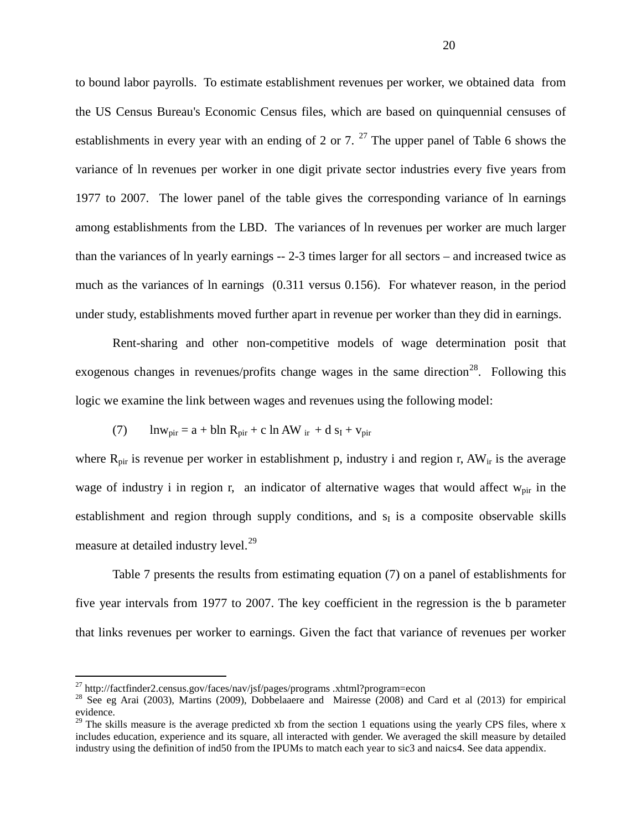to bound labor payrolls. To estimate establishment revenues per worker, we obtained data from the US Census Bureau's Economic Census files, which are based on quinquennial censuses of establishments in every year with an ending of 2 or 7.  $^{27}$  $^{27}$  $^{27}$  The upper panel of Table 6 shows the variance of ln revenues per worker in one digit private sector industries every five years from 1977 to 2007. The lower panel of the table gives the corresponding variance of ln earnings among establishments from the LBD. The variances of ln revenues per worker are much larger than the variances of ln yearly earnings -- 2-3 times larger for all sectors – and increased twice as much as the variances of ln earnings (0.311 versus 0.156). For whatever reason, in the period under study, establishments moved further apart in revenue per worker than they did in earnings.

Rent-sharing and other non-competitive models of wage determination posit that exogenous changes in revenues/profits change wages in the same direction<sup>[28](#page-21-0)</sup>. Following this logic we examine the link between wages and revenues using the following model:

(7) 
$$
\ln w_{\text{pir}} = a + bh R_{\text{pir}} + c \ln AW_{\text{ir}} + d s_{\text{I}} + v_{\text{pir}}
$$

where  $R_{\text{pir}}$  is revenue per worker in establishment p, industry i and region r,  $AW_{ir}$  is the average wage of industry i in region r, an indicator of alternative wages that would affect  $w_{\text{pir}}$  in the establishment and region through supply conditions, and  $s<sub>I</sub>$  is a composite observable skills measure at detailed industry level.<sup>[29](#page-21-1)</sup>

Table 7 presents the results from estimating equation (7) on a panel of establishments for five year intervals from 1977 to 2007. The key coefficient in the regression is the b parameter that links revenues per worker to earnings. Given the fact that variance of revenues per worker

<span id="page-21-0"></span>

<sup>&</sup>lt;sup>27</sup> http://factfinder2.census.gov/faces/nav/jsf/pages/programs .xhtml?program=econ<br><sup>28</sup> See eg Arai (2003), Martins (2009), Dobbelaaere and Mairesse (2008) and Card et al (2013) for empirical evidence.

<span id="page-21-1"></span> $^{29}$  The skills measure is the average predicted xb from the section 1 equations using the yearly CPS files, where x includes education, experience and its square, all interacted with gender. We averaged the skill measure by detailed industry using the definition of ind50 from the IPUMs to match each year to sic3 and naics4. See data appendix.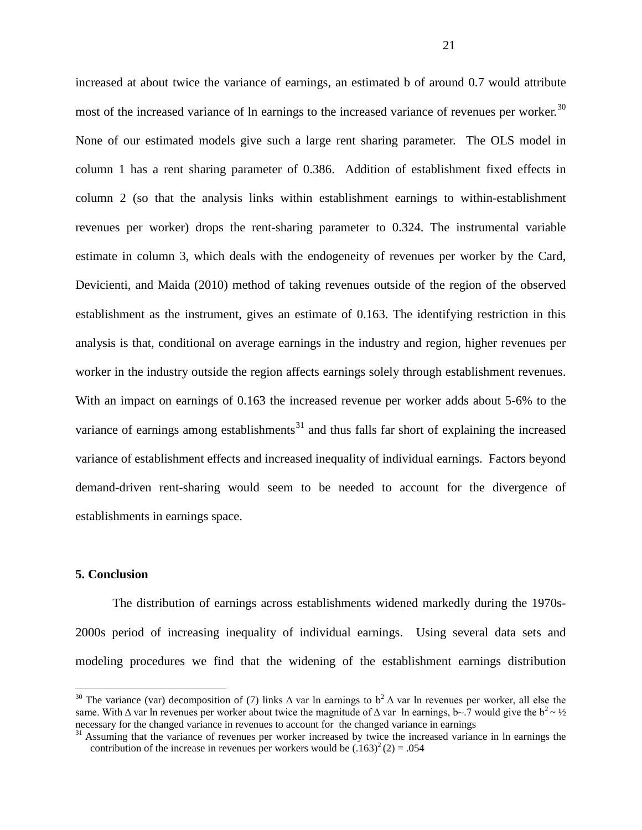increased at about twice the variance of earnings, an estimated b of around 0.7 would attribute most of the increased variance of ln earnings to the increased variance of revenues per worker.<sup>[30](#page-21-0)</sup> None of our estimated models give such a large rent sharing parameter. The OLS model in column 1 has a rent sharing parameter of 0.386. Addition of establishment fixed effects in column 2 (so that the analysis links within establishment earnings to within-establishment revenues per worker) drops the rent-sharing parameter to 0.324. The instrumental variable estimate in column 3, which deals with the endogeneity of revenues per worker by the Card, Devicienti, and Maida (2010) method of taking revenues outside of the region of the observed establishment as the instrument, gives an estimate of 0.163. The identifying restriction in this analysis is that, conditional on average earnings in the industry and region, higher revenues per worker in the industry outside the region affects earnings solely through establishment revenues. With an impact on earnings of 0.163 the increased revenue per worker adds about 5-6% to the variance of earnings among establishments<sup>[31](#page-22-0)</sup> and thus falls far short of explaining the increased variance of establishment effects and increased inequality of individual earnings. Factors beyond demand-driven rent-sharing would seem to be needed to account for the divergence of establishments in earnings space.

#### **5. Conclusion**

The distribution of earnings across establishments widened markedly during the 1970s-2000s period of increasing inequality of individual earnings. Using several data sets and modeling procedures we find that the widening of the establishment earnings distribution

<sup>&</sup>lt;sup>30</sup> The variance (var) decomposition of (7) links  $\Delta$  var ln earnings to  $b^2 \Delta$  var ln revenues per worker, all else the same. With  $\Delta$  var ln revenues per worker about twice the magnitude of  $\Delta$  var ln earnings, b~.7 would give the b<sup>2</sup> ~ ½ necessary for the changed variance in revenues to account for the changed variance in earnings

<span id="page-22-0"></span> $31$  Assuming that the variance of revenues per worker increased by twice the increased variance in ln earnings the contribution of the increase in revenues per workers would be  $(.163)^{2}$  (2) = .054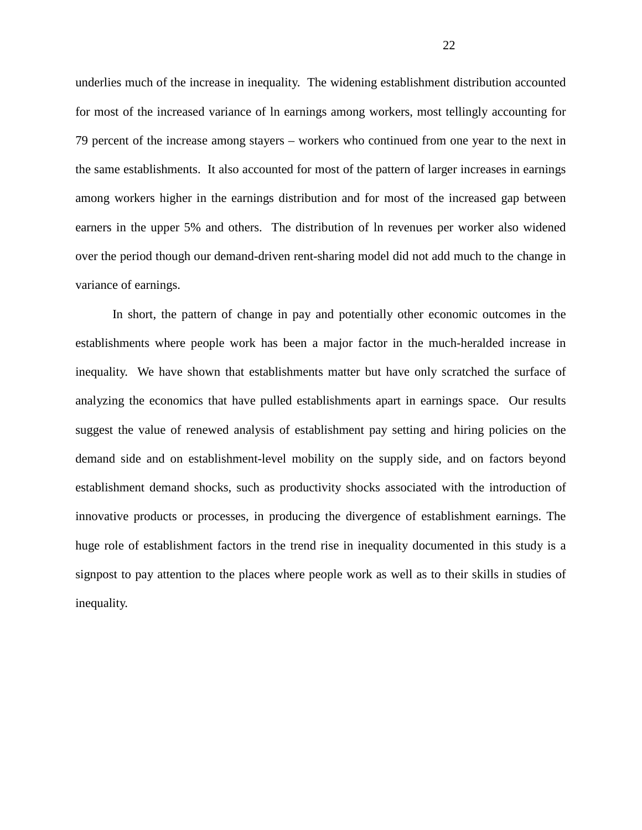underlies much of the increase in inequality. The widening establishment distribution accounted for most of the increased variance of ln earnings among workers, most tellingly accounting for 79 percent of the increase among stayers – workers who continued from one year to the next in the same establishments. It also accounted for most of the pattern of larger increases in earnings among workers higher in the earnings distribution and for most of the increased gap between earners in the upper 5% and others. The distribution of ln revenues per worker also widened over the period though our demand-driven rent-sharing model did not add much to the change in variance of earnings.

In short, the pattern of change in pay and potentially other economic outcomes in the establishments where people work has been a major factor in the much-heralded increase in inequality. We have shown that establishments matter but have only scratched the surface of analyzing the economics that have pulled establishments apart in earnings space. Our results suggest the value of renewed analysis of establishment pay setting and hiring policies on the demand side and on establishment-level mobility on the supply side, and on factors beyond establishment demand shocks, such as productivity shocks associated with the introduction of innovative products or processes, in producing the divergence of establishment earnings. The huge role of establishment factors in the trend rise in inequality documented in this study is a signpost to pay attention to the places where people work as well as to their skills in studies of inequality.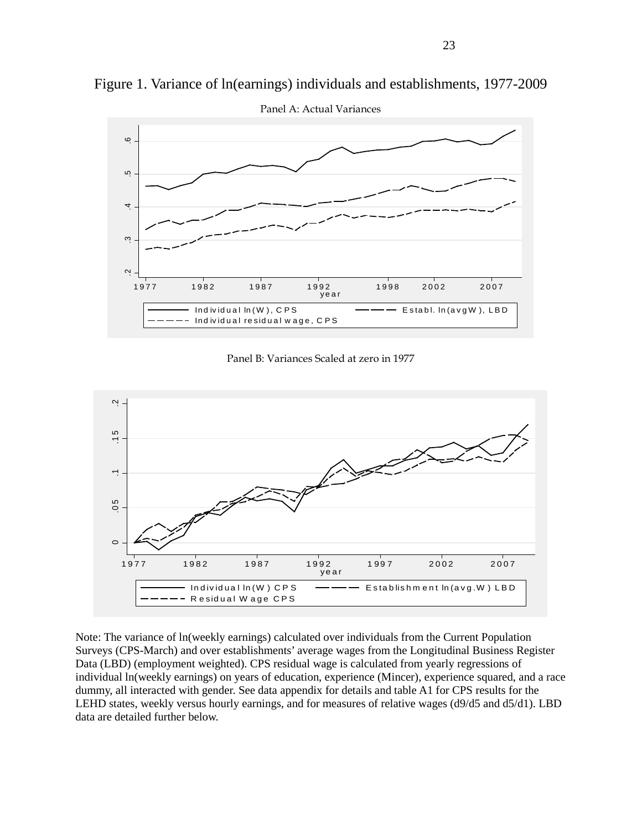

Figure 1. Variance of ln(earnings) individuals and establishments, 1977-2009

Panel A: Actual Variances





Note: The variance of ln(weekly earnings) calculated over individuals from the Current Population Surveys (CPS-March) and over establishments' average wages from the Longitudinal Business Register Data (LBD) (employment weighted). CPS residual wage is calculated from yearly regressions of individual ln(weekly earnings) on years of education, experience (Mincer), experience squared, and a race dummy, all interacted with gender. See data appendix for details and table A1 for CPS results for the LEHD states, weekly versus hourly earnings, and for measures of relative wages (d9/d5 and d5/d1). LBD data are detailed further below.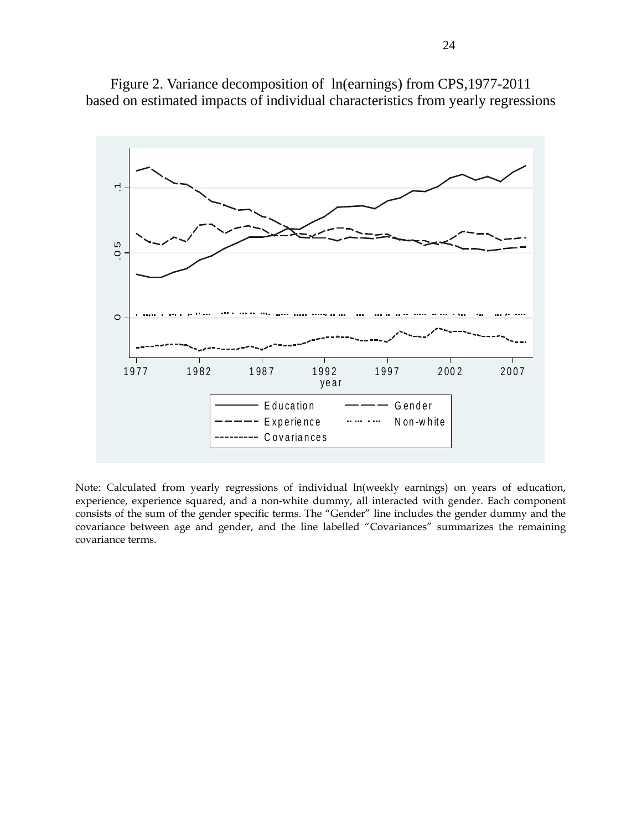

Figure 2. Variance decomposition of ln(earnings) from CPS,1977-2011 based on estimated impacts of individual characteristics from yearly regressions

Note: Calculated from yearly regressions of individual ln(weekly earnings) on years of education, experience, experience squared, and a non-white dummy, all interacted with gender. Each component consists of the sum of the gender specific terms. The "Gender" line includes the gender dummy and the covariance between age and gender, and the line labelled "Covariances" summarizes the remaining covariance terms.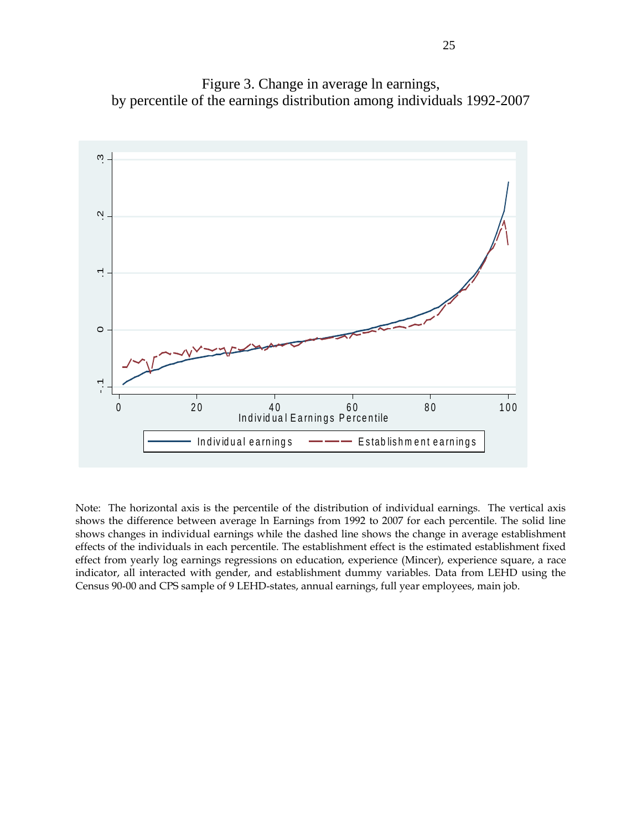Figure 3. Change in average ln earnings, by percentile of the earnings distribution among individuals 1992-2007



Note: The horizontal axis is the percentile of the distribution of individual earnings. The vertical axis shows the difference between average ln Earnings from 1992 to 2007 for each percentile. The solid line shows changes in individual earnings while the dashed line shows the change in average establishment effects of the individuals in each percentile. The establishment effect is the estimated establishment fixed effect from yearly log earnings regressions on education, experience (Mincer), experience square, a race indicator, all interacted with gender, and establishment dummy variables. Data from LEHD using the Census 90-00 and CPS sample of 9 LEHD-states, annual earnings, full year employees, main job.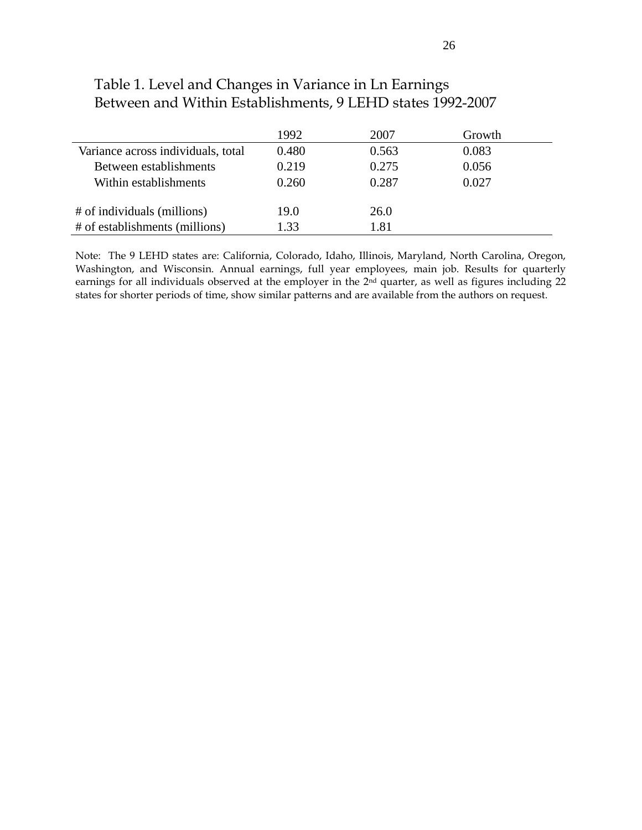|                                    | 1992  | 2007  | Growth |  |
|------------------------------------|-------|-------|--------|--|
| Variance across individuals, total | 0.480 | 0.563 | 0.083  |  |
| Between establishments             | 0.219 | 0.275 | 0.056  |  |
| Within establishments              | 0.260 | 0.287 | 0.027  |  |
|                                    |       |       |        |  |
| # of individuals (millions)        | 19.0  | 26.0  |        |  |
| # of establishments (millions)     | 1.33  | l.81  |        |  |

# Table 1. Level and Changes in Variance in Ln Earnings Between and Within Establishments, 9 LEHD states 1992-2007

Note: The 9 LEHD states are: California, Colorado, Idaho, Illinois, Maryland, North Carolina, Oregon, Washington, and Wisconsin. Annual earnings, full year employees, main job. Results for quarterly earnings for all individuals observed at the employer in the 2<sup>nd</sup> quarter, as well as figures including 22 states for shorter periods of time, show similar patterns and are available from the authors on request.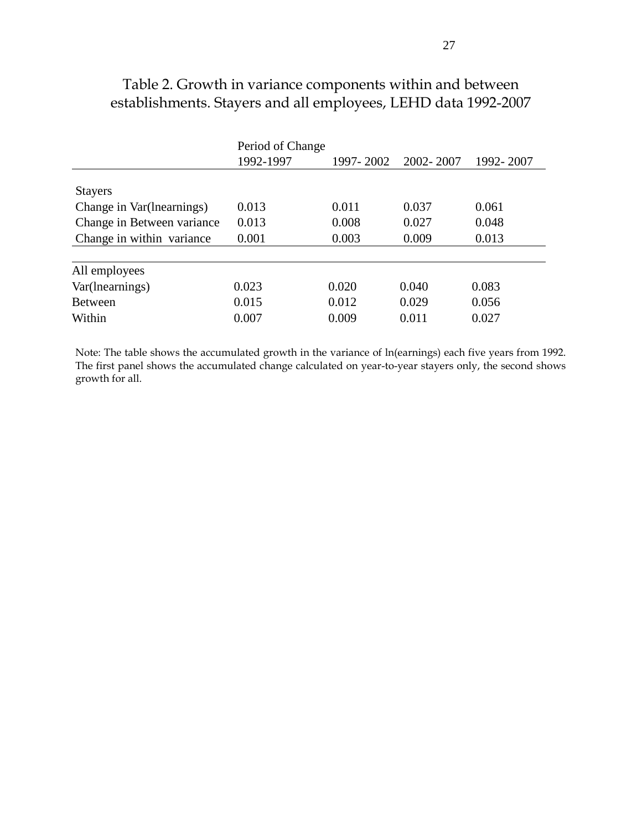|                            | Period of Change |           |           |           |
|----------------------------|------------------|-----------|-----------|-----------|
|                            | 1992-1997        | 1997-2002 | 2002-2007 | 1992-2007 |
|                            |                  |           |           |           |
| <b>Stayers</b>             |                  |           |           |           |
| Change in Var(lnearnings)  | 0.013            | 0.011     | 0.037     | 0.061     |
| Change in Between variance | 0.013            | 0.008     | 0.027     | 0.048     |
| Change in within variance  | 0.001            | 0.003     | 0.009     | 0.013     |
|                            |                  |           |           |           |
| All employees              |                  |           |           |           |
| Var(lnearnings)            | 0.023            | 0.020     | 0.040     | 0.083     |
| Between                    | 0.015            | 0.012     | 0.029     | 0.056     |
| Within                     | 0.007            | 0.009     | 0.011     | 0.027     |

# Table 2. Growth in variance components within and between establishments. Stayers and all employees, LEHD data 1992-2007

Note: The table shows the accumulated growth in the variance of ln(earnings) each five years from 1992. The first panel shows the accumulated change calculated on year-to-year stayers only, the second shows growth for all.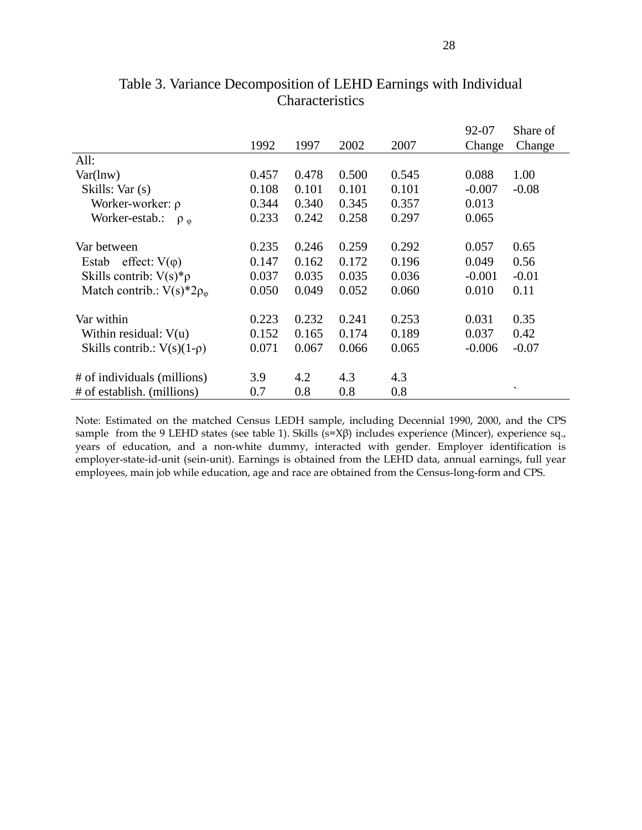|                                    |       |       |       |       | 92-07    | Share of                 |
|------------------------------------|-------|-------|-------|-------|----------|--------------------------|
|                                    | 1992  | 1997  | 2002  | 2007  | Change   | Change                   |
| All:                               |       |       |       |       |          |                          |
| $Var(\ln w)$                       | 0.457 | 0.478 | 0.500 | 0.545 | 0.088    | 1.00                     |
| Skills: Var (s)                    | 0.108 | 0.101 | 0.101 | 0.101 | $-0.007$ | $-0.08$                  |
| Worker-worker: $\rho$              | 0.344 | 0.340 | 0.345 | 0.357 | 0.013    |                          |
| Worker-estab.:<br>$\rho_{0}$       | 0.233 | 0.242 | 0.258 | 0.297 | 0.065    |                          |
| Var between                        | 0.235 | 0.246 | 0.259 | 0.292 | 0.057    | 0.65                     |
| Estab effect: $V(\varphi)$         | 0.147 | 0.162 | 0.172 | 0.196 | 0.049    | 0.56                     |
|                                    |       |       |       |       |          |                          |
| Skills contrib: $V(s)*\rho$        | 0.037 | 0.035 | 0.035 | 0.036 | $-0.001$ | $-0.01$                  |
| Match contrib.: $V(s)^*2\rho_\phi$ | 0.050 | 0.049 | 0.052 | 0.060 | 0.010    | 0.11                     |
| Var within                         | 0.223 | 0.232 | 0.241 | 0.253 | 0.031    | 0.35                     |
| Within residual: $V(u)$            | 0.152 | 0.165 | 0.174 | 0.189 | 0.037    | 0.42                     |
| Skills contrib.: $V(s)(1-\rho)$    | 0.071 | 0.067 | 0.066 | 0.065 | $-0.006$ | $-0.07$                  |
|                                    |       |       |       |       |          |                          |
| # of individuals (millions)        | 3.9   | 4.2   | 4.3   | 4.3   |          |                          |
| # of establish. (millions)         | 0.7   | 0.8   | 0.8   | 0.8   |          | $\overline{\phantom{a}}$ |

### Table 3. Variance Decomposition of LEHD Earnings with Individual Characteristics

Note: Estimated on the matched Census LEDH sample, including Decennial 1990, 2000, and the CPS sample from the 9 LEHD states (see table 1). Skills (s=Xβ) includes experience (Mincer), experience sq., years of education, and a non-white dummy, interacted with gender. Employer identification is employer-state-id-unit (sein-unit). Earnings is obtained from the LEHD data, annual earnings, full year employees, main job while education, age and race are obtained from the Census-long-form and CPS.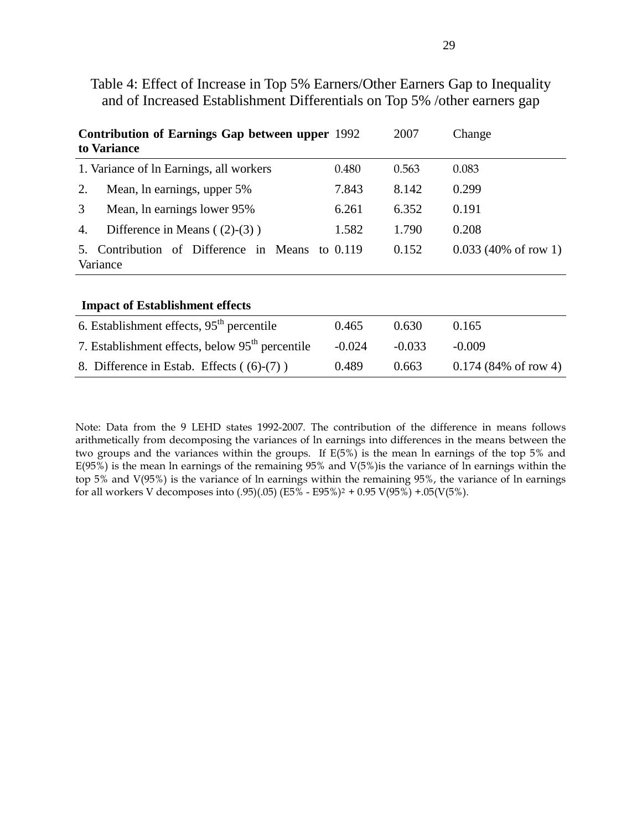| Contribution of Earnings Gap between upper 1992<br>to Variance      |       | 2007  | Change                          |
|---------------------------------------------------------------------|-------|-------|---------------------------------|
| 1. Variance of ln Earnings, all workers                             | 0.480 | 0.563 | 0.083                           |
| 2.<br>Mean, ln earnings, upper 5%                                   | 7.843 | 8.142 | 0.299                           |
| 3<br>Mean, ln earnings lower 95%                                    | 6.261 | 6.352 | 0.191                           |
| Difference in Means $(2)-(3)$ )<br>4.                               | 1.582 | 1.790 | 0.208                           |
| Contribution of Difference in Means to 0.119<br>$5_{-}$<br>Variance |       | 0.152 | $0.033(40\% \text{ of row } 1)$ |
| <b>Impact of Establishment effects</b>                              |       |       |                                 |

Table 4: Effect of Increase in Top 5% Earners/Other Earners Gap to Inequality and of Increased Establishment Differentials on Top 5% /other earners gap

| THE RESIGNATION CHECKS                                      |          |          |                                 |
|-------------------------------------------------------------|----------|----------|---------------------------------|
| 6. Establishment effects, $95th$ percentile                 | 0.465    | 0.630    | 0.165                           |
| 7. Establishment effects, below 95 <sup>th</sup> percentile | $-0.024$ | $-0.033$ | $-0.009$                        |
| 8. Difference in Estab. Effects ((6)-(7))                   | 0.489    | 0.663    | $0.174(84\% \text{ of row } 4)$ |

Note: Data from the 9 LEHD states 1992-2007. The contribution of the difference in means follows arithmetically from decomposing the variances of ln earnings into differences in the means between the two groups and the variances within the groups. If E(5%) is the mean ln earnings of the top 5% and E(95%) is the mean ln earnings of the remaining 95% and V(5%)is the variance of ln earnings within the top 5% and V(95%) is the variance of ln earnings within the remaining 95%, the variance of ln earnings for all workers V decomposes into (.95)(.05) (E5% - E95%)<sup>2</sup> + 0.95 V(95%) +.05(V(5%).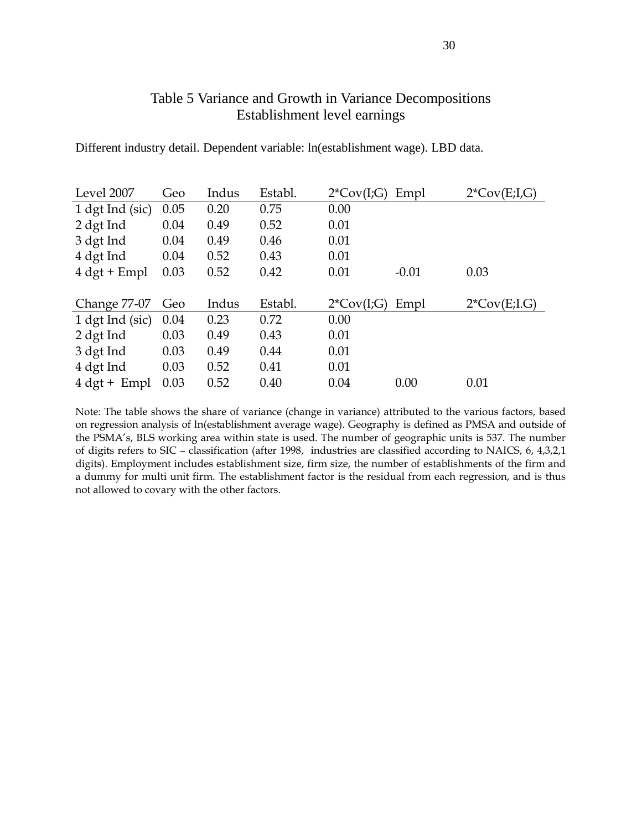### Table 5 Variance and Growth in Variance Decompositions Establishment level earnings

| Level 2007                    | Geo  | Indus | Establ. | $2^{\ast}Cov(I;G)$ | Empl    | $2*Cov(E;I,G)$ |
|-------------------------------|------|-------|---------|--------------------|---------|----------------|
| 1 dgt Ind (sic)               | 0.05 | 0.20  | 0.75    | 0.00               |         |                |
| 2 dgt Ind                     | 0.04 | 0.49  | 0.52    | 0.01               |         |                |
| 3 dgt Ind                     | 0.04 | 0.49  | 0.46    | 0.01               |         |                |
| 4 dgt Ind                     | 0.04 | 0.52  | 0.43    | 0.01               |         |                |
| $4 \text{ dgt} + \text{Empl}$ | 0.03 | 0.52  | 0.42    | 0.01               | $-0.01$ | 0.03           |
|                               |      |       |         |                    |         |                |
|                               |      |       |         |                    |         |                |
| Change 77-07                  | Geo  | Indus | Establ. | $2^{\ast}Cov(I;G)$ | Empl    | $2*Cov(E;I,G)$ |
| 1 dgt Ind (sic)               | 0.04 | 0.23  | 0.72    | 0.00               |         |                |
| 2 dgt Ind                     | 0.03 | 0.49  | 0.43    | 0.01               |         |                |
| 3 dgt Ind                     | 0.03 | 0.49  | 0.44    | 0.01               |         |                |
| 4 dgt Ind                     | 0.03 | 0.52  | 0.41    | 0.01               |         |                |
| $4 \text{ dgt} + \text{Empl}$ | 0.03 | 0.52  | 0.40    | 0.04               | 0.00    | 0.01           |

Different industry detail. Dependent variable: ln(establishment wage). LBD data.

Note: The table shows the share of variance (change in variance) attributed to the various factors, based on regression analysis of ln(establishment average wage). Geography is defined as PMSA and outside of the PSMA's, BLS working area within state is used. The number of geographic units is 537. The number of digits refers to SIC – classification (after 1998, industries are classified according to NAICS, 6, 4,3,2,1 digits). Employment includes establishment size, firm size, the number of establishments of the firm and a dummy for multi unit firm. The establishment factor is the residual from each regression, and is thus not allowed to covary with the other factors.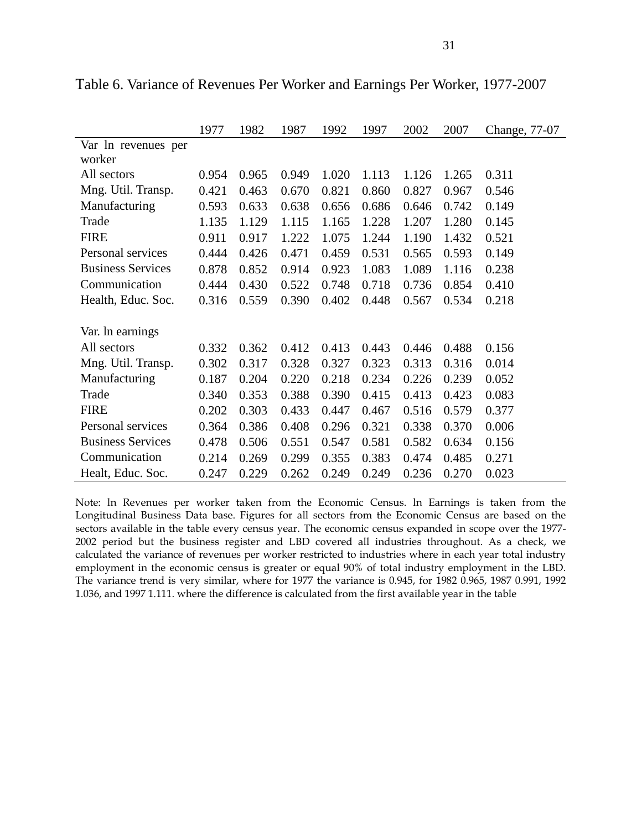|                          | 1977  | 1982  | 1987  | 1992  | 1997  | 2002  | 2007  | Change, 77-07 |
|--------------------------|-------|-------|-------|-------|-------|-------|-------|---------------|
| Var ln revenues per      |       |       |       |       |       |       |       |               |
| worker                   |       |       |       |       |       |       |       |               |
| All sectors              | 0.954 | 0.965 | 0.949 | 1.020 | 1.113 | 1.126 | 1.265 | 0.311         |
| Mng. Util. Transp.       | 0.421 | 0.463 | 0.670 | 0.821 | 0.860 | 0.827 | 0.967 | 0.546         |
| Manufacturing            | 0.593 | 0.633 | 0.638 | 0.656 | 0.686 | 0.646 | 0.742 | 0.149         |
| Trade                    | 1.135 | 1.129 | 1.115 | 1.165 | 1.228 | 1.207 | 1.280 | 0.145         |
| <b>FIRE</b>              | 0.911 | 0.917 | 1.222 | 1.075 | 1.244 | 1.190 | 1.432 | 0.521         |
| Personal services        | 0.444 | 0.426 | 0.471 | 0.459 | 0.531 | 0.565 | 0.593 | 0.149         |
| <b>Business Services</b> | 0.878 | 0.852 | 0.914 | 0.923 | 1.083 | 1.089 | 1.116 | 0.238         |
| Communication            | 0.444 | 0.430 | 0.522 | 0.748 | 0.718 | 0.736 | 0.854 | 0.410         |
| Health, Educ. Soc.       | 0.316 | 0.559 | 0.390 | 0.402 | 0.448 | 0.567 | 0.534 | 0.218         |
|                          |       |       |       |       |       |       |       |               |
| Var. In earnings         |       |       |       |       |       |       |       |               |
| All sectors              | 0.332 | 0.362 | 0.412 | 0.413 | 0.443 | 0.446 | 0.488 | 0.156         |
| Mng. Util. Transp.       | 0.302 | 0.317 | 0.328 | 0.327 | 0.323 | 0.313 | 0.316 | 0.014         |
| Manufacturing            | 0.187 | 0.204 | 0.220 | 0.218 | 0.234 | 0.226 | 0.239 | 0.052         |
| Trade                    | 0.340 | 0.353 | 0.388 | 0.390 | 0.415 | 0.413 | 0.423 | 0.083         |
| <b>FIRE</b>              | 0.202 | 0.303 | 0.433 | 0.447 | 0.467 | 0.516 | 0.579 | 0.377         |
| Personal services        | 0.364 | 0.386 | 0.408 | 0.296 | 0.321 | 0.338 | 0.370 | 0.006         |
| <b>Business Services</b> | 0.478 | 0.506 | 0.551 | 0.547 | 0.581 | 0.582 | 0.634 | 0.156         |
| Communication            | 0.214 | 0.269 | 0.299 | 0.355 | 0.383 | 0.474 | 0.485 | 0.271         |
| Healt, Educ. Soc.        | 0.247 | 0.229 | 0.262 | 0.249 | 0.249 | 0.236 | 0.270 | 0.023         |

Table 6. Variance of Revenues Per Worker and Earnings Per Worker, 1977-2007

Note: ln Revenues per worker taken from the Economic Census. ln Earnings is taken from the Longitudinal Business Data base. Figures for all sectors from the Economic Census are based on the sectors available in the table every census year. The economic census expanded in scope over the 1977- 2002 period but the business register and LBD covered all industries throughout. As a check, we calculated the variance of revenues per worker restricted to industries where in each year total industry employment in the economic census is greater or equal 90% of total industry employment in the LBD. The variance trend is very similar, where for 1977 the variance is 0.945, for 1982 0.965, 1987 0.991, 1992 1.036, and 1997 1.111. where the difference is calculated from the first available year in the table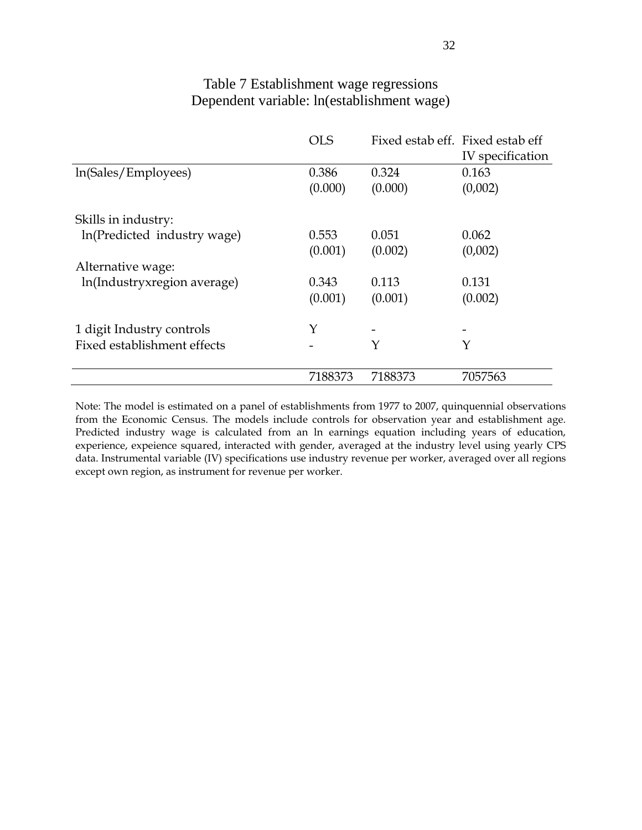### Table 7 Establishment wage regressions Dependent variable: ln(establishment wage)

|                             | <b>OLS</b> | Fixed estab eff. Fixed estab eff |                  |
|-----------------------------|------------|----------------------------------|------------------|
|                             |            |                                  | IV specification |
| ln(Sales/Employees)         | 0.386      | 0.324                            | 0.163            |
|                             | (0.000)    | (0.000)                          | (0,002)          |
| Skills in industry:         |            |                                  |                  |
| In(Predicted industry wage) | 0.553      | 0.051                            | 0.062            |
|                             | (0.001)    | (0.002)                          | (0,002)          |
| Alternative wage:           |            |                                  |                  |
| ln(Industryxregion average) | 0.343      | 0.113                            | 0.131            |
|                             | (0.001)    | (0.001)                          | (0.002)          |
| 1 digit Industry controls   | Y          |                                  |                  |
| Fixed establishment effects |            | Y                                | Y                |
|                             | 7188373    | 7188373                          | 7057563          |

Note: The model is estimated on a panel of establishments from 1977 to 2007, quinquennial observations from the Economic Census. The models include controls for observation year and establishment age. Predicted industry wage is calculated from an ln earnings equation including years of education, experience, expeience squared, interacted with gender, averaged at the industry level using yearly CPS data. Instrumental variable (IV) specifications use industry revenue per worker, averaged over all regions except own region, as instrument for revenue per worker.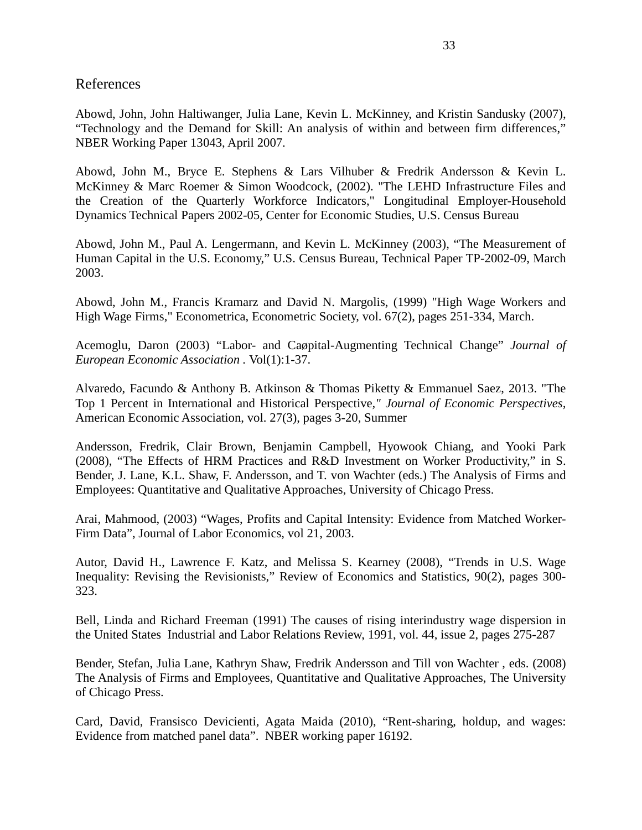### References

Abowd, John, John Haltiwanger, Julia Lane, Kevin L. McKinney, and Kristin Sandusky (2007), "Technology and the Demand for Skill: An analysis of within and between firm differences," NBER Working Paper 13043, April 2007.

Abowd, John M., Bryce E. Stephens & Lars Vilhuber & Fredrik Andersson & Kevin L. McKinney & Marc Roemer & Simon Woodcock, (2002). "The LEHD Infrastructure Files and the Creation of the Quarterly Workforce Indicators," Longitudinal Employer-Household Dynamics Technical Papers 2002-05, Center for Economic Studies, U.S. Census Bureau

Abowd, John M., Paul A. Lengermann, and Kevin L. McKinney (2003), "The Measurement of Human Capital in the U.S. Economy," U.S. Census Bureau, Technical Paper TP-2002-09, March 2003.

Abowd, John M., Francis Kramarz and David N. Margolis, (1999) "High Wage Workers and High Wage Firms," Econometrica, Econometric Society, vol. 67(2), pages 251-334, March.

Acemoglu, Daron (2003) "Labor- and Caøpital-Augmenting Technical Change" *Journal of European Economic Association .* Vol(1):1-37.

Alvaredo, Facundo & Anthony B. Atkinson & Thomas Piketty & Emmanuel Saez, 2013. "The Top 1 Percent in International and Historical Perspective*," Journal of Economic Perspectives,* American Economic Association, vol. 27(3), pages 3-20, Summer

Andersson, Fredrik, Clair Brown, Benjamin Campbell, Hyowook Chiang, and Yooki Park (2008), "The Effects of HRM Practices and R&D Investment on Worker Productivity," in S. Bender, J. Lane, K.L. Shaw, F. Andersson, and T. von Wachter (eds.) The Analysis of Firms and Employees: Quantitative and Qualitative Approaches, University of Chicago Press.

Arai, Mahmood, (2003) "Wages, Profits and Capital Intensity: Evidence from Matched Worker-Firm Data", Journal of Labor Economics, vol 21, 2003.

Autor, David H., Lawrence F. Katz, and Melissa S. Kearney (2008), "Trends in U.S. Wage Inequality: Revising the Revisionists," Review of Economics and Statistics, 90(2), pages 300- 323.

Bell, Linda and Richard Freeman (1991) The causes of rising interindustry wage dispersion in the United States Industrial and Labor Relations Review, 1991, vol. 44, issue 2, pages 275-287

Bender, Stefan, Julia Lane, Kathryn Shaw, Fredrik Andersson and Till von Wachter , eds. (2008) The Analysis of Firms and Employees, Quantitative and Qualitative Approaches, The University of Chicago Press.

Card, David, Fransisco Devicienti, Agata Maida (2010), "Rent-sharing, holdup, and wages: Evidence from matched panel data". NBER working paper 16192.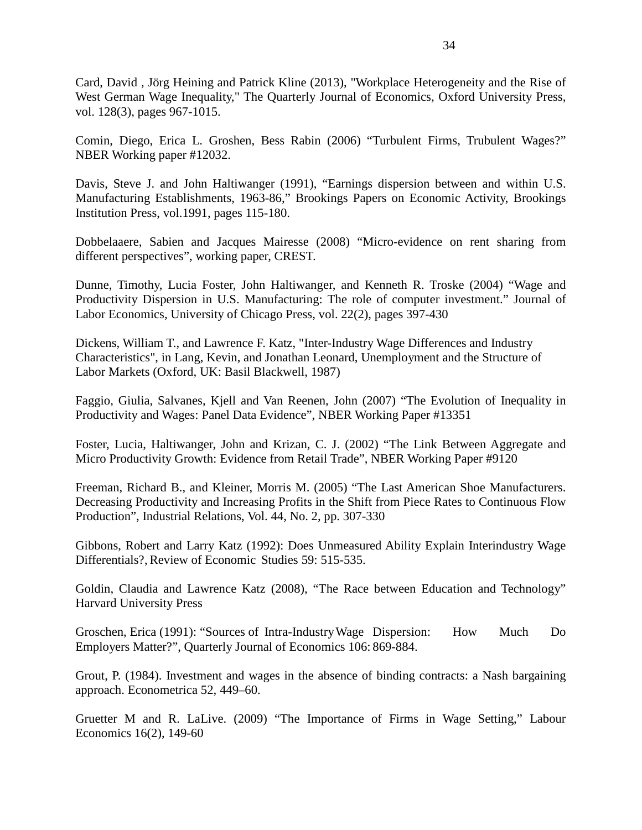Card, David , Jörg Heining and Patrick Kline (2013), "Workplace Heterogeneity and the Rise of West German Wage Inequality," The Quarterly Journal of Economics, Oxford University Press, vol. 128(3), pages 967-1015.

Comin, Diego, Erica L. Groshen, Bess Rabin (2006) "Turbulent Firms, Trubulent Wages?" NBER Working paper #12032.

Davis, Steve J. and John Haltiwanger (1991), "Earnings dispersion between and within U.S. Manufacturing Establishments, 1963-86," Brookings Papers on Economic Activity, Brookings Institution Press, vol.1991, pages 115-180.

Dobbelaaere, Sabien and Jacques Mairesse (2008) "Micro-evidence on rent sharing from different perspectives", working paper, CREST.

Dunne, Timothy, Lucia Foster, John Haltiwanger, and Kenneth R. Troske (2004) "Wage and Productivity Dispersion in U.S. Manufacturing: The role of computer investment." Journal of Labor Economics, University of Chicago Press, vol. 22(2), pages 397-430

Dickens, William T., and Lawrence F. Katz, "Inter-Industry Wage Differences and Industry Characteristics", in Lang, Kevin, and Jonathan Leonard, Unemployment and the Structure of Labor Markets (Oxford, UK: Basil Blackwell, 1987)

Faggio, Giulia, Salvanes, Kjell and Van Reenen, John (2007) "The Evolution of Inequality in Productivity and Wages: Panel Data Evidence", NBER Working Paper #13351

Foster, Lucia, Haltiwanger, John and Krizan, C. J. (2002) "The Link Between Aggregate and Micro Productivity Growth: Evidence from Retail Trade", NBER Working Paper #9120

Freeman, Richard B., and Kleiner, Morris M. (2005) "The Last American Shoe Manufacturers. Decreasing Productivity and Increasing Profits in the Shift from Piece Rates to Continuous Flow Production", Industrial Relations, Vol. 44, No. 2, pp. 307-330

Gibbons, Robert and Larry Katz (1992): Does Unmeasured Ability Explain Interindustry Wage Differentials?, Review of Economic Studies 59: 515-535.

Goldin, Claudia and Lawrence Katz (2008), "The Race between Education and Technology" Harvard University Press

Groschen, Erica (1991): "Sources of Intra-IndustryWage Dispersion: How Much Do Employers Matter?", Quarterly Journal of Economics 106: 869-884.

Grout, P. (1984). Investment and wages in the absence of binding contracts: a Nash bargaining approach. Econometrica 52, 449–60.

Gruetter M and R. LaLive. (2009) "The Importance of Firms in Wage Setting," Labour Economics 16(2), 149-60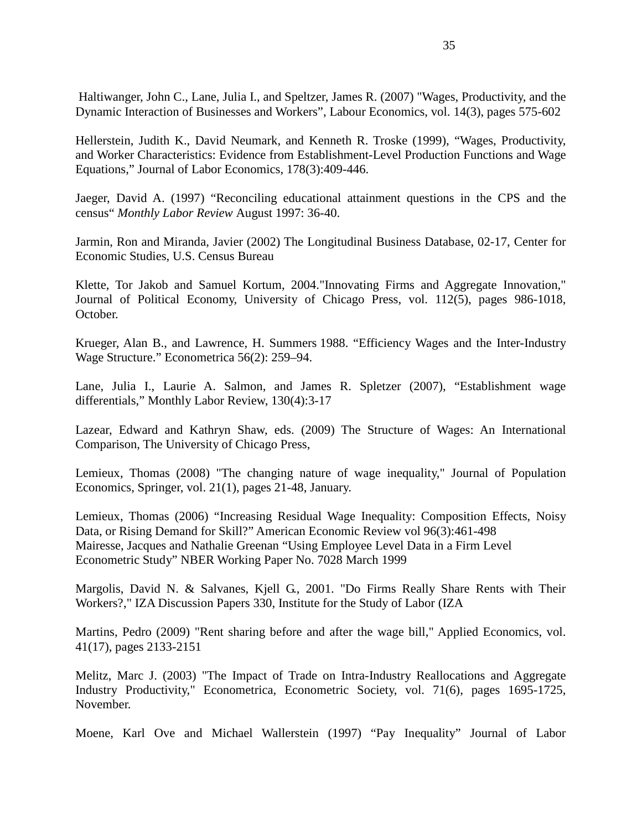Haltiwanger, John C., Lane, Julia I., and Speltzer, James R. (2007) "Wages, Productivity, and the Dynamic Interaction of Businesses and Workers", Labour Economics, vol. 14(3), pages 575-602

Hellerstein, Judith K., David Neumark, and Kenneth R. Troske (1999), "Wages, Productivity, and Worker Characteristics: Evidence from Establishment-Level Production Functions and Wage Equations," Journal of Labor Economics, 178(3):409-446.

Jaeger, David A. (1997) "Reconciling educational attainment questions in the CPS and the census" *Monthly Labor Review* August 1997: 36-40.

Jarmin, Ron and Miranda, Javier (2002) The Longitudinal Business Database, 02-17, Center for Economic Studies, U.S. Census Bureau

Klette, Tor Jakob and Samuel Kortum, 2004."Innovating Firms and Aggregate Innovation," Journal of Political Economy, University of Chicago Press, vol. 112(5), pages 986-1018, October.

Krueger, Alan B., and Lawrence, H. Summers 1988. "Efficiency Wages and the Inter-Industry Wage Structure." Econometrica 56(2): 259–94.

Lane, Julia I., Laurie A. Salmon, and James R. Spletzer (2007), "Establishment wage differentials," Monthly Labor Review, 130(4):3-17

Lazear, Edward and Kathryn Shaw, eds. (2009) The Structure of Wages: An International Comparison, The University of Chicago Press,

Lemieux, Thomas (2008) "The changing nature of wage inequality," Journal of Population Economics, Springer, vol. 21(1), pages 21-48, January.

Lemieux, Thomas (2006) "Increasing Residual Wage Inequality: Composition Effects, Noisy Data, or Rising Demand for Skill?" American Economic Review vol 96(3):461-498 Mairesse, Jacques and Nathalie Greenan "Using Employee Level Data in a Firm Level Econometric Study" NBER Working Paper No. 7028 March 1999

Margolis, David N. & Salvanes, Kjell G., 2001. "Do Firms Really Share Rents with Their Workers?," IZA Discussion Papers 330, Institute for the Study of Labor (IZA

Martins, Pedro (2009) "Rent sharing before and after the wage bill," Applied Economics, vol. 41(17), pages 2133-2151

Melitz, Marc J. (2003) "The Impact of Trade on Intra-Industry Reallocations and Aggregate Industry Productivity," Econometrica, Econometric Society, vol. 71(6), pages 1695-1725, November.

Moene, Karl Ove and Michael Wallerstein (1997) "Pay Inequality" Journal of Labor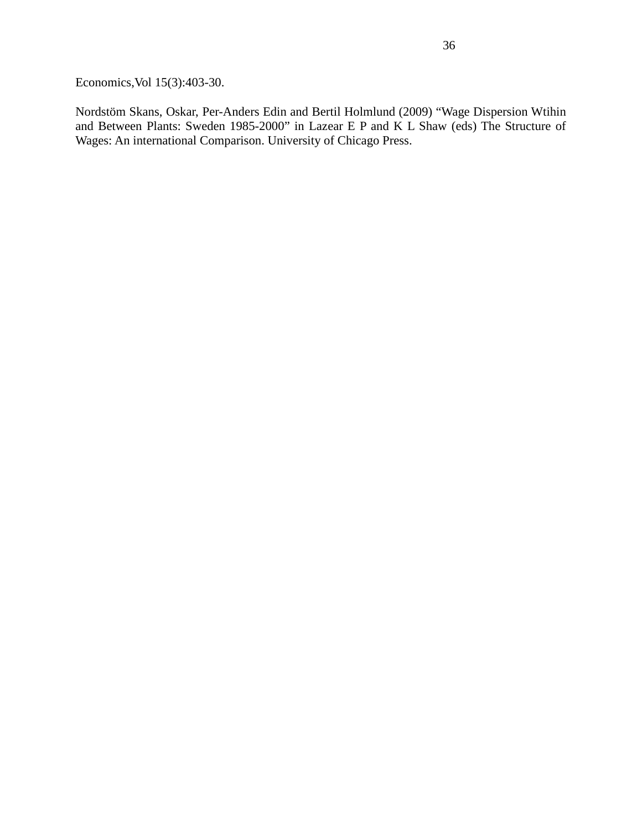Economics,Vol 15(3):403-30.

Nordstöm Skans, Oskar, Per-Anders Edin and Bertil Holmlund (2009) "Wage Dispersion Wtihin and Between Plants: Sweden 1985-2000" in Lazear E P and K L Shaw (eds) The Structure of Wages: An international Comparison. University of Chicago Press.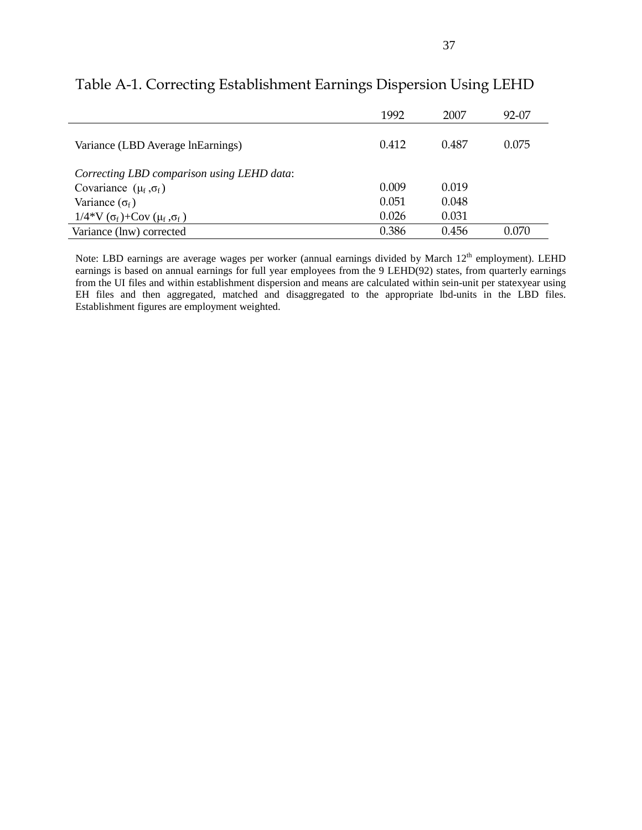|                                            | 1992  | 2007  | 92-07 |
|--------------------------------------------|-------|-------|-------|
| Variance (LBD Average InEarnings)          | 0.412 | 0.487 | 0.075 |
| Correcting LBD comparison using LEHD data: |       |       |       |
| Covariance $(\mu_f, \sigma_f)$             | 0.009 | 0.019 |       |
| Variance $(\sigma_f)$                      | 0.051 | 0.048 |       |
| $1/4*V(\sigma_f) + Cov(\mu_f, \sigma_f)$   | 0.026 | 0.031 |       |
| Variance (lnw) corrected                   | 0.386 | 0.456 | 0.070 |

# Table A-1. Correcting Establishment Earnings Dispersion Using LEHD

Note: LBD earnings are average wages per worker (annual earnings divided by March 12<sup>th</sup> employment). LEHD earnings is based on annual earnings for full year employees from the 9 LEHD(92) states, from quarterly earnings from the UI files and within establishment dispersion and means are calculated within sein-unit per statexyear using EH files and then aggregated, matched and disaggregated to the appropriate lbd-units in the LBD files. Establishment figures are employment weighted.